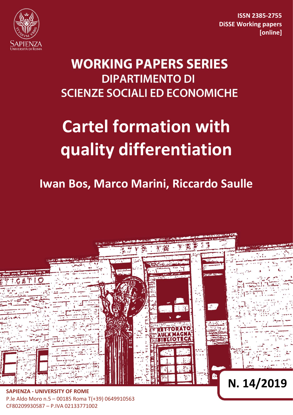

**ISSN 2385-2755 DiSSE Working papers [online]**

# **WORKING PAPERS SERIES DIPARTIMENTO DI SCIENZE SOCIALI ED ECONOMICHE**

# **Cartel formation with quality differentiation**

## **Iwan Bos, Marco Marini, Riccardo Saulle**



P.le Aldo Moro n.5 – 00185 Roma T(+39) 0649910563 CF80209930587 – P.IVA 02133771002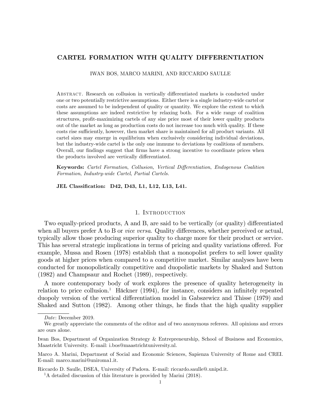### CARTEL FORMATION WITH QUALITY DIFFERENTIATION

IWAN BOS, MARCO MARINI, AND RICCARDO SAULLE

ABSTRACT. Research on collusion in vertically differentiated markets is conducted under one or two potentially restrictive assumptions. Either there is a single industry-wide cartel or costs are assumed to be independent of quality or quantity. We explore the extent to which these assumptions are indeed restrictive by relaxing both. For a wide range of coalition structures, profit-maximizing cartels of any size price most of their lower quality products out of the market as long as production costs do not increase too much with quality. If these costs rise sufficiently, however, then market share is maintained for all product variants. All cartel sizes may emerge in equilibrium when exclusively considering individual deviations, but the industry-wide cartel is the only one immune to deviations by coalitions of members. Overall, our findings suggest that firms have a strong incentive to coordinate prices when the products involved are vertically differentiated.

Keywords: Cartel Formation, Collusion, Vertical Differentiation, Endogenous Coalition Formation, Industry-wide Cartel, Partial Cartels.

JEL Classification: D42, D43, L1, L12, L13, L41.

#### 1. Introduction

Two equally-priced products, A and B, are said to be vertically (or quality) differentiated when all buyers prefer A to B or *vice versa*. Quality differences, whether perceived or actual, typically allow those producing superior quality to charge more for their product or service. This has several strategic implications in terms of pricing and quality variations offered. For example, Mussa and Rosen (1978) establish that a monopolist prefers to sell lower quality goods at higher prices when compared to a competitive market. Similar analyses have been conducted for monopolistically competitive and duopolistic markets by Shaked and Sutton (1982) and Champsaur and Rochet (1989), respectively.

A more contemporary body of work explores the presence of quality heterogeneity in relation to price collusion.<sup>1</sup> Häckner (1994), for instance, considers an infinitely repeated duopoly version of the vertical differentiation model in Gabszewicz and Thisse (1979) and Shaked and Sutton (1982). Among other things, he finds that the high quality supplier

Riccardo D. Saulle, DSEA, University of Padova. E-mail: riccardo.saulle@.unipd.it.

Date: December 2019.

We greatly appreciate the comments of the editor and of two anonymous referees. All opinions and errors are ours alone.

Iwan Bos, Department of Organization Strategy & Entrepreneurship, School of Business and Economics, Maastricht University. E-mail: i.bos@maastrichtuniversity.nl.

Marco A. Marini, Department of Social and Economic Sciences, Sapienza University of Rome and CREI. E-mail: marco.marini@uniroma1.it.

<sup>&</sup>lt;sup>1</sup>A detailed discussion of this literature is provided by Marini (2018).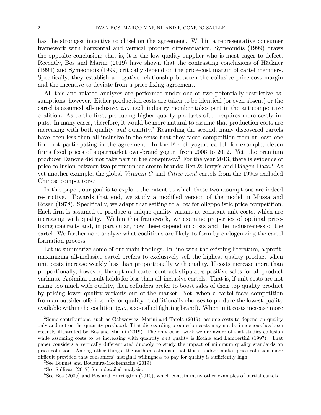has the strongest incentive to chisel on the agreement. Within a representative consumer framework with horizontal and vertical product differentiation, Symeonidis (1999) draws the opposite conclusion; that is, it is the low quality supplier who is most eager to defect. Recently, Bos and Marini (2019) have shown that the contrasting conclusions of Häckner (1994) and Symeonidis (1999) critically depend on the price-cost margin of cartel members. Specifically, they establish a negative relationship between the collusive price-cost margin and the incentive to deviate from a price-fixing agreement.

All this and related analyses are performed under one or two potentially restrictive assumptions, however. Either production costs are taken to be identical (or even absent) or the cartel is assumed all-inclusive, *i.e.*, each industry member takes part in the anticompetitive coalition. As to the first, producing higher quality products often requires more costly inputs. In many cases, therefore, it would be more natural to assume that production costs are increasing with both quality and quantity.<sup>2</sup> Regarding the second, many discovered cartels have been less than all-inclusive in the sense that they faced competition from at least one firm not participating in the agreement. In the French yogurt cartel, for example, eleven firms fixed prices of supermarket own-brand yogurt from 2006 to 2012. Yet, the premium producer Danone did not take part in the conspiracy.3 For the year 2013, there is evidence of price collusion between two premium ice cream brands: Ben & Jerry's and Häagen-Dazs.<sup>4</sup> As yet another example, the global Vitamin C and Citric Acid cartels from the 1990s excluded Chinese competitors.<sup>5</sup>

In this paper, our goal is to explore the extent to which these two assumptions are indeed restrictive. Towards that end, we study a modified version of the model in Mussa and Rosen (1978). Specifically, we adapt that setting to allow for oligopolistic price competition. Each firm is assumed to produce a unique quality variant at constant unit costs, which are increasing with quality. Within this framework, we examine properties of optimal pricefixing contracts and, in particular, how these depend on costs and the inclusiveness of the cartel. We furthermore analyze what coalitions are likely to form by endogenizing the cartel formation process.

Let us summarize some of our main findings. In line with the existing literature, a profitmaximizing all-inclusive cartel prefers to exclusively sell the highest quality product when unit costs increase weakly less than proportionally with quality. If costs increase more than proportionally, however, the optimal cartel contract stipulates positive sales for all product variants. A similar result holds for less than all-inclusive cartels. That is, if unit costs are not rising too much with quality, then colluders prefer to boost sales of their top quality product by pricing lower quality variants out of the market. Yet, when a cartel faces competition from an outsider offering inferior quality, it additionally chooses to produce the lowest quality available within the coalition  $(i.e., a so-called fighting brand)$ . When unit costs increase more

 $2$ Some contributions, such as Gabszewicz, Marini and Tarola  $(2019)$ , assume costs to depend on quality only and not on the quantity produced. That disregarding production costs may not be innocuous has been recently illustrated by Bos and Marini (2019). The only other work we are aware of that studies collusion while assuming costs to be increasing with quantity *and* quality is Ecchia and Lambertini (1997). That paper considers a vertically differentiated duopoly to study the impact of minimum quality standards on price collusion. Among other things, the authors establish that this standard makes price collusion more difficult provided that consumers' marginal willingness to pay for quality is sufficiently high.

<sup>3</sup>See Bonnet and Bouamra-Mechemache (2019).

<sup>&</sup>lt;sup>4</sup>See Sullivan (2017) for a detailed analysis.

<sup>&</sup>lt;sup>5</sup>See Bos (2009) and Bos and Harrington (2010), which contain many other examples of partial cartels.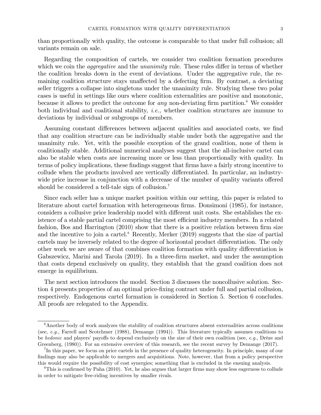than proportionally with quality, the outcome is comparable to that under full collusion; all variants remain on sale.

Regarding the composition of cartels, we consider two coalition formation procedures which we coin the *aggregative* and the *unanimity* rule. These rules differ in terms of whether the coalition breaks down in the event of deviations. Under the aggregative rule, the remaining coalition structure stays unaffected by a defecting firm. By contrast, a deviating seller triggers a collapse into singletons under the unanimity rule. Studying these two polar cases is useful in settings like ours where coalition externalities are positive and monotonic, because it allows to predict the outcome for *any* non-deviating firm partition.<sup>6</sup> We consider both individual and coalitional stability, *i.e.*, whether coalition structures are immune to deviations by individual or subgroups of members.

Assuming constant differences between adjacent qualities and associated costs, we find that any coalition structure can be individually stable under both the aggregative and the unanimity rule. Yet, with the possible exception of the grand coalition, none of them is coalitionally stable. Additional numerical analyses suggest that the all-inclusive cartel can also be stable when costs are increasing more or less than proportionally with quality. In terms of policy implications, these findings suggest that firms have a fairly strong incentive to collude when the products involved are vertically differentiated. In particular, an industrywide price increase in conjunction with a decrease of the number of quality variants offered should be considered a tell-tale sign of collusion.<sup>7</sup>

Since each seller has a unique market position within our setting, this paper is related to literature about cartel formation with heterogeneous firms. Donsimoni (1985), for instance, considers a collusive price leadership model with different unit costs. She establishes the existence of a stable partial cartel comprising the most efficient industry members. In a related fashion, Bos and Harrington  $(2010)$  show that there is a positive relation between firm size and the incentive to join a cartel.<sup>8</sup> Recently, Merker  $(2019)$  suggests that the size of partial cartels may be inversely related to the degree of horizontal product differentiation. The only other work we are aware of that combines coalition formation with quality differentiation is Gabszewicz, Marini and Tarola (2019). In a three-firm market, and under the assumption that costs depend exclusively on quality, they establish that the grand coalition does not emerge in equilibrium.

The next section introduces the model. Section 3 discusses the noncollusive solution. Section 4 presents properties of an optimal price-Öxing contract under full and partial collusion, respectively. Endogenous cartel formation is considered in Section 5. Section 6 concludes. All proofs are relegated to the Appendix.

 $6A$ nother body of work analyzes the stability of coalition structures absent externalities across coalitions (see, e.g., Farrell and Scotchmer (1988), Demange (1994)). This literature typically assumes coalitions to be hedonic and players' payoffs to depend exclusively on the size of their own coalition (see, e.g., Drèze and Greenberg, (1980)). For an extensive overview of this research, see the recent survey by Demange (2017).

<sup>7</sup>In this paper, we focus on price cartels in the presence of quality heterogeneity. In principle, many of our findings may also be applicable to mergers and acquisitions. Note, however, that from a policy perspective this would require the possibility of cost synergies; something that is excluded in the ensuing analysis.

 ${}^8$ This is confirmed by Paha (2010). Yet, he also argues that larger firms may show less eagerness to collude in order to mitigate free-riding incentives by smaller rivals.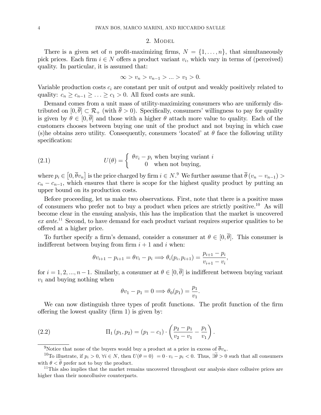#### 2. MODEL

There is a given set of n profit-maximizing firms,  $N = \{1, \ldots, n\}$ , that simultaneously pick prices. Each firm  $i \in N$  offers a product variant  $v_i$ , which vary in terms of (perceived) quality. In particular, it is assumed that:

$$
\infty > v_n > v_{n-1} > \ldots > v_1 > 0.
$$

Variable production costs  $c_i$  are constant per unit of output and weakly positively related to quality:  $c_n \geq c_{n-1} \geq \ldots \geq c_1 > 0$ . All fixed costs are sunk.

Demand comes from a unit mass of utility-maximizing consumers who are uniformly distributed on  $[0, \overline{\theta}] \subset \mathcal{R}_+$  (with  $\overline{\theta} > 0$ ). Specifically, consumers' willingness to pay for quality is given by  $\theta \in [0, \overline{\theta}]$  and those with a higher  $\theta$  attach more value to quality. Each of the customers chooses between buying one unit of the product and not buying in which case (s)he obtains zero utility. Consequently, consumers 'located' at  $\theta$  face the following utility specification:

(2.1) 
$$
U(\theta) = \begin{cases} \theta v_i - p_i \text{ when buying variant } i \\ 0 \text{ when not buying,} \end{cases}
$$

where  $p_i \in [0, \overline{\theta}v_n]$  is the price charged by firm  $i \in N$ .<sup>9</sup> We further assume that  $\overline{\theta}(v_n - v_{n-1})$  $c_n - c_{n-1}$ , which ensures that there is scope for the highest quality product by putting an upper bound on its production costs.

Before proceeding, let us make two observations. First, note that there is a positive mass of consumers who prefer not to buy a product when prices are strictly positive.<sup>10</sup> As will become clear in the ensuing analysis, this has the implication that the market is uncovered  $ex$  ante.<sup>11</sup> Second, to have demand for each product variant requires superior qualities to be offered at a higher price.

To further specify a firm's demand, consider a consumer at  $\theta \in [0, \overline{\theta}]$ . This consumer is indifferent between buying from firm  $i + 1$  and i when:

$$
\theta v_{i+1} - p_{i+1} = \theta v_i - p_i \Longrightarrow \theta_i(p_i, p_{i+1}) = \frac{p_{i+1} - p_i}{v_{i+1} - v_i},
$$

for  $i = 1, 2, ..., n-1$ . Similarly, a consumer at  $\theta \in [0, \overline{\theta}]$  is indifferent between buying variant  $v_1$  and buying nothing when

$$
\theta v_1 - p_1 = 0 \Longrightarrow \theta_0(p_1) = \frac{p_1}{v_1}.
$$

We can now distinguish three types of profit functions. The profit function of the firm offering the lowest quality (firm 1) is given by:

(2.2) 
$$
\Pi_1(p_1, p_2) = (p_1 - c_1) \cdot \left(\frac{p_2 - p_1}{v_2 - v_1} - \frac{p_1}{v_1}\right).
$$

<sup>&</sup>lt;sup>9</sup>Notice that none of the buyers would buy a product at a price in excess of  $\bar{\theta}v_n$ .

<sup>&</sup>lt;sup>10</sup>To illustrate, if  $p_i > 0$ ,  $\forall i \in N$ , then  $U(\theta = 0) = 0 \cdot v_i - p_i < 0$ . Thus,  $\exists \tilde{\theta} > 0$  such that all consumers with  $\theta < \tilde{\theta}$  prefer not to buy the product.

<sup>&</sup>lt;sup>11</sup>This also implies that the market remains uncovered throughout our analysis since collusive prices are higher than their noncollusive counterparts.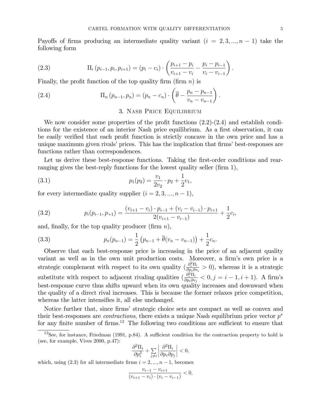Payoffs of firms producing an intermediate quality variant  $(i = 2, 3, ..., n - 1)$  take the following form

(2.3) 
$$
\Pi_i(p_{i-1}, p_i, p_{i+1}) = (p_i - c_i) \cdot \left( \frac{p_{i+1} - p_i}{v_{i+1} - v_i} - \frac{p_i - p_{i-1}}{v_i - v_{i-1}} \right).
$$

Finally, the profit function of the top quality firm (firm  $n$ ) is

(2.4) 
$$
\Pi_n (p_{n-1}, p_n) = (p_n - c_n) \cdot \left( \overline{\theta} - \frac{p_n - p_{n-1}}{v_n - v_{n-1}} \right).
$$

#### 3. Nash Price Equilibrium

We now consider some properties of the profit functions  $(2.2)-(2.4)$  and establish conditions for the existence of an interior Nash price equilibrium. As a first observation, it can be easily verified that each profit function is strictly concave in the own price and has a unique maximum given rivals' prices. This has the implication that firms' best-responses are functions rather than correspondences.

Let us derive these best-response functions. Taking the first-order conditions and rearranging gives the best-reply functions for the lowest quality seller  $(firm 1)$ ,

(3.1) 
$$
p_1(p_2) = \frac{v_1}{2v_2} \cdot p_2 + \frac{1}{2}c_1,
$$

for every intermediate quality supplier  $(i = 2, 3, ..., n - 1)$ ,

(3.2) 
$$
p_i(p_{i-1}, p_{+1}) = \frac{(v_{i+1} - v_i) \cdot p_{i-1} + (v_i - v_{i-1}) \cdot p_{i+1}}{2(v_{i+1} - v_{i-1})} + \frac{1}{2}c_i,
$$

and, finally, for the top quality producer (firm  $n$ ),

(3.3) 
$$
p_n(p_{n-1}) = \frac{1}{2} (p_{n-1} + \overline{\theta}(v_n - v_{n-1})) + \frac{1}{2}c_n.
$$

Observe that each best-response price is increasing in the price of an adjacent quality variant as well as in the own unit production costs. Moreover, a firm's own price is a strategic complement with respect to its own quality  $\left(\frac{\partial_i^2 \Pi_i}{\partial p_i \partial v_i} > 0\right)$ , whereas it is a strategic substitute with respect to adjacent rivaling qualities  $\left(\frac{\partial_i^2 \Pi_i}{\partial n_i \partial v_j}\right)$  $\frac{\partial_{\bar{i}}\Pi_{i}}{\partial p_{i}\partial v_{j}} < 0, j = i - 1, i + 1$ ). A firm's best-response curve thus shifts upward when its own quality increases and downward when the quality of a direct rival increases. This is because the former relaxes price competition, whereas the latter intensifies it, all else unchanged.

Notice further that, since firms' strategic choice sets are compact as well as convex and their best-responses are *contractions*, there exists a unique Nash equilibrium price vector  $p^*$ for any finite number of firms.<sup>12</sup> The following two conditions are sufficient to ensure that

$$
\frac{\partial^2 \Pi_i}{\partial p_i^2} + \sum_{j \neq i} \left| \frac{\partial^2 \Pi_i}{\partial p_i \partial p_j} \right| < 0,
$$

which, using  $(2.3)$  for all intermediate firms  $i = 2, ..., n - 1$ , becomes

$$
\frac{v_{i-1} - v_{i+1}}{(v_{i+1} - v_i) \cdot (v_i - v_{i-1})} < 0,
$$

 $12$ See, for instance, Friedman (1991, p.84). A sufficient condition for the contraction property to hold is (see, for example, Vives 2000, p.47):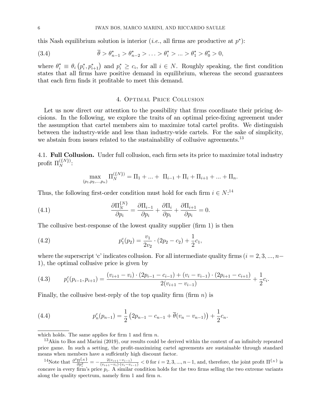this Nash equilibrium solution is interior *(i.e., all firms are productive at p<sup>\*</sup>)*:

(3.4) 
$$
\overline{\theta} > \theta_{n-1}^* > \theta_{n-2}^* > \ldots > \theta_i^* > \ldots > \theta_1^* > \theta_0^* > 0,
$$

where  $\theta_i^* \equiv \theta_i (p_i^*, p_{i+1}^*)$  and  $p_i^* \geq c_i$ , for all  $i \in N$ . Roughly speaking, the first condition states that all firms have positive demand in equilibrium, whereas the second guarantees that each firm finds it profitable to meet this demand.

#### 4. OPTIMAL PRICE COLLUSION

Let us now direct our attention to the possibility that firms coordinate their pricing decisions. In the following, we explore the traits of an optimal price-fixing agreement under the assumption that cartel members aim to maximize total cartel profits. We distinguish between the industry-wide and less than industry-wide cartels. For the sake of simplicity, we abstain from issues related to the sustainability of collusive agreements.<sup>13</sup>

4.1. Full Collusion. Under full collusion, each firm sets its price to maximize total industry profit  $\Pi_N^{\{\{N\}\}}$ :

$$
\max_{(p_1, p_2, \dots, p_n)} \Pi_N^{\{\{N\}\}} = \Pi_1 + \dots + \Pi_{i-1} + \Pi_i + \Pi_{i+1} + \dots + \Pi_n.
$$

Thus, the following first-order condition must hold for each firm  $i \in N$ .<sup>14</sup>

(4.1) 
$$
\frac{\partial \Pi_N^{\{N\}}}{\partial p_i} = \frac{\partial \Pi_{i-1}}{\partial p_i} + \frac{\partial \Pi_i}{\partial p_i} + \frac{\partial \Pi_{i+1}}{\partial p_i} = 0
$$

The collusive best-response of the lowest quality supplier (firm 1) is then

(4.2) 
$$
p_1^c(p_2) = \frac{v_1}{2v_2} \cdot (2p_2 - c_2) + \frac{1}{2}c_1,
$$

where the superscript 'c' indicates collusion. For all intermediate quality firms  $(i = 2, 3, ..., n-$ 1), the optimal collusive price is given by

$$
(4.3) \qquad p_i^c(p_{i-1}, p_{i+1}) = \frac{(v_{i+1} - v_i) \cdot (2p_{i-1} - c_{i-1}) + (v_i - v_{i-1}) \cdot (2p_{i+1} - c_{i+1})}{2(v_{i+1} - v_{i-1})} + \frac{1}{2}c_i
$$

Finally, the collusive best-reply of the top quality firm (firm  $n$ ) is

(4.4) 
$$
p_n^c(p_{n-1}) = \frac{1}{2} \left( 2p_{n-1} - c_{n-1} + \overline{\theta}(v_n - v_{n-1}) \right) + \frac{1}{2} c_n
$$

which holds. The same applies for firm 1 and firm  $n$ .

<sup>&</sup>lt;sup>13</sup>Akin to Bos and Marini (2019), our results could be derived within the context of an infinitely repeated price game. In such a setting, the profit-maximizing cartel agreements are sustainable through standard means when members have a suffciently high discount factor.

<sup>&</sup>lt;sup>14</sup>Note that  $\frac{\partial^2 \Pi\{N\}}{\partial p_i^2} = -\frac{2(v_{i+1}-v_{i-1})}{(v_{i+1}-v_i)\cdot(v_i-v_{i-1})} < 0$  for  $i = 2, 3, ..., n-1$ , and, therefore, the joint profit  $\Pi^{\{N\}}$  is concave in every firm's price  $p_i$ . A similar condition holds for the two f along the quality spectrum, namely firm 1 and firm  $n$ .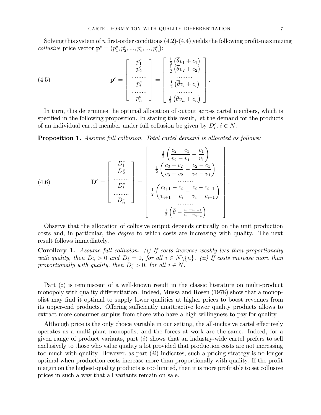Solving this system of n first-order conditions  $(4.2)-(4.4)$  yields the following profit-maximizing *collusive* price vector  $\mathbf{p}^c = (p_1^c, p_2^c, ..., p_i^c, ..., p_n^c)$ :

(4.5) 
$$
\mathbf{p}^c = \begin{bmatrix} p_1^c \\ p_2^c \\ \dots & \dots \\ p_i^c \\ \dots & \dots \\ p_n^c \end{bmatrix} = \begin{bmatrix} \frac{1}{2} (\overline{\theta}v_1 + c_1) \\ \frac{1}{2} (\overline{\theta}v_2 + c_2) \\ \dots & \dots \\ \frac{1}{2} (\overline{\theta}v_i + c_i) \\ \dots & \dots \\ \frac{1}{2} (\overline{\theta}v_n + c_n) \end{bmatrix}
$$

In turn, this determines the optimal allocation of output across cartel members, which is specified in the following proposition. In stating this result, let the demand for the products of an individual cartel member under full collusion be given by  $D_i^c$ ,  $i \in N$ .

**Proposition 1.** Assume full collusion. Total cartel demand is allocated as follows:

(4.6) 
$$
\mathbf{D}^{c} = \begin{bmatrix} D_{1}^{c} \\ D_{2}^{c} \\ \vdots \\ D_{n}^{c} \\ D_{n}^{c} \end{bmatrix} = \begin{bmatrix} \frac{1}{2} \left( \frac{c_{2} - c_{1}}{v_{2} - v_{1}} - \frac{c_{1}}{v_{1}} \right) \\ \frac{1}{2} \left( \frac{c_{3} - c_{2}}{v_{3} - v_{2}} - \frac{c_{2} - c_{1}}{v_{2} - v_{1}} \right) \\ \vdots \\ \frac{1}{2} \left( \frac{c_{i+1} - c_{i}}{v_{i+1} - v_{i}} - \frac{c_{i} - c_{i-1}}{v_{i} - v_{i-1}} \right) \\ \vdots \\ \frac{1}{2} \left( \overline{\theta} - \frac{c_{n} - c_{n-1}}{v_{n} - v_{n-1}} \right) \end{bmatrix}
$$

Observe that the allocation of collusive output depends critically on the unit production costs and, in particular, the *degree* to which costs are increasing with quality. The next result follows immediately.

**Corollary 1.** Assume full collusion. (i) If costs increase weakly less than proportionally with quality, then  $D_n^c > 0$  and  $D_i^c = 0$ , for all  $i \in N \setminus \{n\}$ . (ii) If costs increase more than proportionally with quality, then  $D_i^c > 0$ , for all  $i \in N$ .

Part  $(i)$  is reminiscent of a well-known result in the classic literature on multi-product monopoly with quality differentiation. Indeed, Mussa and Rosen (1978) show that a monopolist may find it optimal to supply lower qualities at higher prices to boost revenues from its upper-end products. Offering sufficiently unattractive lower quality products allows to extract more consumer surplus from those who have a high willingness to pay for quality.

Although price is the only choice variable in our setting, the all-inclusive cartel effectively operates as a multi-plant monopolist and the forces at work are the same. Indeed, for a given range of product variants, part  $(i)$  shows that an industry-wide cartel prefers to sell exclusively to those who value quality a lot provided that production costs are not increasing too much with quality. However, as part  $(ii)$  indicates, such a pricing strategy is no longer optimal when production costs increase more than proportionally with quality. If the profit margin on the highest-quality products is too limited, then it is more profitable to set collusive prices in such a way that all variants remain on sale.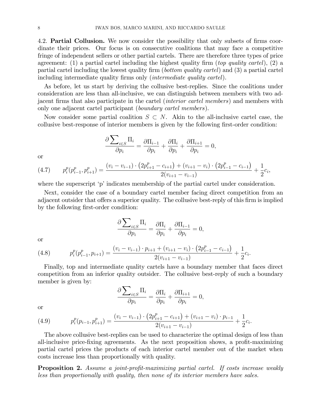4.2. **Partial Collusion.** We now consider the possibility that only subsets of firms coordinate their prices. Our focus is on consecutive coalitions that may face a competitive fringe of independent sellers or other partial cartels. There are therefore three types of price agreement: (1) a partial cartel including the highest quality firm (top quality cartel), (2) a partial cartel including the lowest quality firm (*bottom quality cartel*) and (3) a partial cartel including intermediate quality firms only (*intermediate quality cartel*).

As before, let us start by deriving the collusive best-replies. Since the coalitions under consideration are less than all-inclusive, we can distinguish between members with two adjacent firms that also participate in the cartel *(interior cartel members)* and members with only one adjacent cartel participant (boundary cartel members).

Now consider some partial coalition  $S \subset N$ . Akin to the all-inclusive cartel case, the collusive best-response of interior members is given by the following first-order condition:

$$
\frac{\partial \sum_{i \in S} \Pi_i}{\partial p_i} = \frac{\partial \Pi_{i-1}}{\partial p_i} + \frac{\partial \Pi_i}{\partial p_i} + \frac{\partial \Pi_{i+1}}{\partial p_i} = 0,
$$

or

$$
(4.7) \t p_i^p(p_{i-1}^p, p_{i+1}^p) = \frac{(v_i - v_{i-1}) \cdot (2p_{i+1}^p - c_{i+1}) + (v_{i+1} - v_i) \cdot (2p_{i-1}^p - c_{i-1})}{2(v_{i+1} - v_{i-1})} + \frac{1}{2}c_i,
$$

where the superscript 'p' indicates membership of the partial cartel under consideration.

Next, consider the case of a boundary cartel member facing direct competition from an adjacent outsider that offers a superior quality. The collusive best-reply of this firm is implied by the following first-order condition:

$$
\frac{\partial \sum_{i \in S} \Pi_i}{\partial p_i} = \frac{\partial \Pi_i}{\partial p_i} + \frac{\partial \Pi_{i-1}}{\partial p_i} = 0,
$$

or

(4.8) 
$$
p_i^p(p_{i-1}^p, p_{i+1}) = \frac{(v_i - v_{i-1}) \cdot p_{i+1} + (v_{i+1} - v_i) \cdot (2p_{i-1}^p - c_{i-1})}{2(v_{i+1} - v_{i-1})} + \frac{1}{2}c_i.
$$

Finally, top and intermediate quality cartels have a boundary member that faces direct competition from an inferior quality outsider. The collusive best-reply of such a boundary member is given by:

$$
\frac{\partial \sum_{i \in S} \Pi_i}{\partial p_i} = \frac{\partial \Pi_i}{\partial p_i} + \frac{\partial \Pi_{i+1}}{\partial p_i} = 0,
$$

or

(4.9) 
$$
p_i^p(p_{i-1}, p_{i+1}^p) = \frac{(v_i - v_{i-1}) \cdot (2p_{i+1}^p - c_{i+1}) + (v_{i+1} - v_i) \cdot p_{i-1}}{2(v_{i+1} - v_{i-1})} + \frac{1}{2}c_i.
$$

The above collusive best-replies can be used to characterize the optimal design of less than all-inclusive price-fixing agreements. As the next proposition shows, a profit-maximizing partial cartel prices the products of each interior cartel member out of the market when costs increase less than proportionally with quality.

**Proposition 2.** Assume a joint-profit-maximizing partial cartel. If costs increase weakly less than proportionally with quality, then none of its interior members have sales.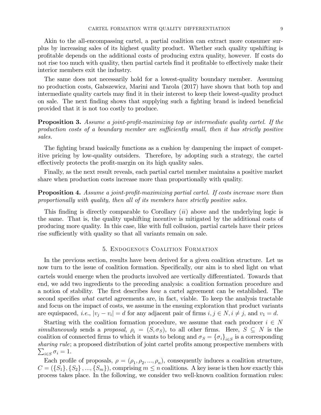Akin to the all-encompassing cartel, a partial coalition can extract more consumer surplus by increasing sales of its highest quality product. Whether such quality upshifting is proÖtable depends on the additional costs of producing extra quality, however. If costs do not rise too much with quality, then partial cartels find it profitable to effectively make their interior members exit the industry.

The same does not necessarily hold for a lowest-quality boundary member. Assuming no production costs, Gabszewicz, Marini and Tarola (2017) have shown that both top and intermediate quality cartels may find it in their interest to keep their lowest-quality product on sale. The next finding shows that supplying such a fighting brand is indeed beneficial provided that it is not too costly to produce.

**Proposition 3.** Assume a joint-profit-maximizing top or intermediate quality cartel. If the production costs of a boundary member are sufficiently small, then it has strictly positive sales.

The fighting brand basically functions as a cushion by dampening the impact of competitive pricing by low-quality outsiders. Therefore, by adopting such a strategy, the cartel effectively protects the profit-margin on its high quality sales.

Finally, as the next result reveals, each partial cartel member maintains a positive market share when production costs increase more than proportionally with quality.

## **Proposition 4.** Assume a joint-profit-maximizing partial cartel. If costs increase more than proportionally with quality, then all of its members have strictly positive sales.

This finding is directly comparable to Corollary  $(ii)$  above and the underlying logic is the same. That is, the quality upshifting incentive is mitigated by the additional costs of producing more quality. In this case, like with full collusion, partial cartels have their prices rise sufficiently with quality so that all variants remain on sale.

#### 5. Endogenous Coalition Formation

In the previous section, results have been derived for a given coalition structure. Let us now turn to the issue of coalition formation. Specifically, our aim is to shed light on what cartels would emerge when the products involved are vertically differentiated. Towards that end, we add two ingredients to the preceding analysis: a coalition formation procedure and a notion of stability. The first describes *how* a cartel agreement can be established. The second specifies *what* cartel agreements are, in fact, viable. To keep the analysis tractable and focus on the impact of costs, we assume in the ensuing exploration that product variants are equispaced, *i.e.*,  $|v_i - v_i| = d$  for any adjacent pair of firms  $i, j \in N, i \neq j$ , and  $v_1 = d$ .

Starting with the coalition formation procedure, we assume that each producer  $i \in N$ simultaneously sends a proposal,  $\rho_i = (S, \sigma_S)$ , to all other firms. Here,  $S \subseteq N$  is the coalition of connected firms to which it wants to belong and  $\sigma_S = {\{\sigma_i\}}_{i \in S}$  is a corresponding sharing rule; a proposed distribution of joint cartel profits among prospective members with  $\sum_{i\in S}\sigma_i=1.$ 

Each profile of proposals,  $\rho = (\rho_1, \rho_2, ..., \rho_n)$ , consequently induces a coalition structure,  $C = (\{S_1\}, \{S_2\}, ..., \{S_m\})$ , comprising  $m \leq n$  coalitions. A key issue is then how exactly this process takes place. In the following, we consider two well-known coalition formation rules: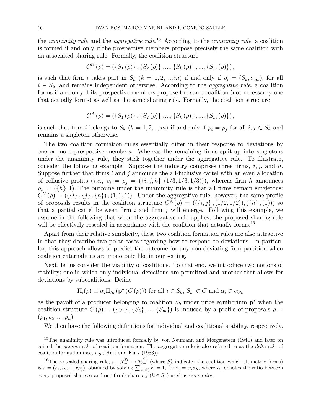the unanimity rule and the aggregative rule.<sup>15</sup> According to the unanimity rule, a coalition is formed if and only if the prospective members propose precisely the same coalition with an associated sharing rule. Formally, the coalition structure

$$
C^{U}(\rho) = (\{S_1(\rho)\}, \{S_2(\rho)\}, ..., \{S_k(\rho)\}, ..., \{S_m(\rho)\}),
$$

is such that firm i takes part in  $S_k$   $(k = 1, 2, ..., m)$  if and only if  $\rho_i = (S_k, \sigma_{S_k})$ , for all  $i \in S_k$ , and remains independent otherwise. According to the *aggregative rule*, a coalition forms if and only if its prospective members propose the same coalition (not necessarily one that actually forms) as well as the same sharing rule. Formally, the coalition structure

$$
C^{A}(\rho) = (\{S_{1}(\rho)\}, \{S_{2}(\rho)\}, ..., \{S_{k}(\rho)\}, ..., \{S_{m}(\rho)\}),
$$

is such that firm i belongs to  $S_k$   $(k = 1, 2, ..., m)$  if and only if  $\rho_i = \rho_j$  for all  $i, j \in S_k$  and remains a singleton otherwise.

The two coalition formation rules essentially differ in their response to deviations by one or more prospective members. Whereas the remaining Örms split-up into singletons under the unanimity rule, they stick together under the aggregative rule. To illustrate, consider the following example. Suppose the industry comprises three firms,  $i, j$ , and h. Suppose further that firms  $i$  and  $j$  announce the all-inclusive cartel with an even allocation of collusive profits (i.e.,  $\rho_i = \rho_j = (\{i, j, h\}, (1/3, 1/3, 1/3))$ ), whereas firm h announces  $\rho_h = (\{h\}, 1)$ . The outcome under the unanimity rule is that all firms remain singletons:  $C^{U}(\rho) = ((\{i\}, \{j\}, \{h\}), (1, 1, 1))$ . Under the aggregative rule, however, the same profile of proposals results in the coalition structure  $C^{A}(\rho) = ((\{i,j\}, (1/2, 1/2)), (\{h\}, (1)))$  so that a partial cartel between firm  $i$  and firm  $j$  will emerge. Following this example, we assume in the following that when the aggregative rule applies, the proposed sharing rule will be effectively rescaled in accordance with the coalition that actually forms.<sup>16</sup>

Apart from their relative simplicity, these two coalition formation rules are also attractive in that they describe two polar cases regarding how to respond to deviations. In particular, this approach allows to predict the outcome for any non-deviating firm partition when coalition externalities are monotonic like in our setting.

Next, let us consider the viability of coalitions. To that end, we introduce two notions of stability; one in which only individual defections are permitted and another that allows for deviations by subcoalitions. Define

$$
\Pi_i(\rho) \equiv \alpha_i \Pi_{S_k}(\mathbf{p}^*(C(\rho))) \text{ for all } i \in S_k, S_k \in C \text{ and } \alpha_i \in \alpha_{S_k}
$$

as the payoff of a producer belonging to coalition  $S_k$  under price equilibrium  $p^*$  when the coalition structure  $C(\rho) = (\{S_1\}, \{S_2\}, ..., \{S_m\})$  is induced by a profile of proposals  $\rho =$  $(\rho_1, \rho_2, ..., \rho_n).$ 

We then have the following definitions for individual and coalitional stability, respectively.

<sup>&</sup>lt;sup>15</sup>The unanimity rule was introduced formally by von Neumann and Morgenstern (1944) and later on coined the *gamma-rule* of coalition formation. The aggregative rule is also referred to as the *delta-rule* of coalition formation (see, e.g., Hart and Kurz (1983)).

<sup>&</sup>lt;sup>16</sup>The re-scaled sharing rule,  $r : \mathcal{R}_{+}^{S_k} \to \mathcal{R}_{+}^{S'_k}$  (where  $S'_k$  indicates the coalition which ultimately forms) is  $r = (r_1, r_2, ..., r_{S'_k})$ , obtained by solving  $\sum_{i \in S'_k} r_i = 1$ , for  $r_i = \alpha_i \sigma_h$ , where  $\alpha_i$  denotes the ratio between every proposed share  $\sigma_i$  and one firm's share  $\sigma_h$   $(h \in S'_k)$  used as *numeraire*.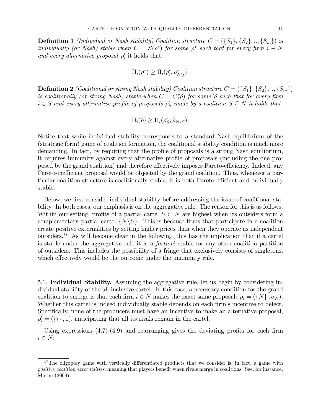**Definition 1** (Individual or Nash stability) Coalition structure  $C = (\{S_1\}, \{S_2\}, ..., \{S_m\})$  is individually (or Nash) stable when  $C = S(\rho^*)$  for some  $\rho^*$  such that for every firm  $i \in N$ and every alternative proposal  $\rho_i'$  it holds that

$$
\Pi_i(\rho^*) \geq \Pi_i(\rho'_i, \rho^*_{N \setminus i}).
$$

**Definition 2** (Coalitional or strong Nash stability) Coalition structure  $C = (\{S_1\}, \{S_2\}, ..., \{S_m\})$ is coalitionally (or strong Nash) stable when  $C = C(\hat{\rho})$  for some  $\hat{\rho}$  such that for every firm  $i \in S$  and every alternative profile of proposals  $\rho'_S$  made by a coalition  $S \subseteq N$  it holds that

$$
\Pi_i(\widehat{\rho}) \geq \Pi_i(\rho'_S, \widehat{\rho}_{N \setminus S}).
$$

Notice that while individual stability corresponds to a standard Nash equilibrium of the (strategic form) game of coalition formation, the coalitional stability condition is much more demanding. In fact, by requiring that the profile of proposals is a strong Nash equilibrium, it requires immunity against every alternative profile of proposals (including the one proposed by the grand coalition) and therefore effectively imposes Pareto-efficiency. Indeed, any Pareto-inefficient proposal would be objected by the grand coalition. Thus, whenever a particular coalition structure is coalitionally stable, it is both Pareto efficient and individually stable.

Below, we first consider individual stability before addressing the issue of coalitional stability. In both cases, our emphasis is on the aggregative rule. The reason for this is as follows. Within our setting, profits of a partial cartel  $S \subset N$  are highest when its outsiders form a complementary partial cartel  $\{N\setminus S\}$ . This is because firms that participate in a coalition create positive externalities by setting higher prices than when they operate as independent outsiders.17 As will become clear in the following, this has the implication that if a cartel is stable under the aggregative rule it is a fortiori stable for any other coalition partition of outsiders. This includes the possibility of a fringe that exclusively consists of singletons, which effectively would be the outcome under the unanimity rule.

5.1. Individual Stability. Assuming the aggregative rule, let us begin by considering individual stability of the all-inclusive cartel. In this case, a necessary condition for the grand coalition to emerge is that each firm  $i \in N$  makes the exact same proposal:  $\rho_i = (\{N\}, \sigma_N)$ . Whether this cartel is indeed individually stable depends on each firm's incentive to defect. Specifically, none of the producers must have an incentive to make an alternative proposal,  $\rho_i' = (\{i\}, 1)$ , anticipating that all its rivals remain in the cartel.

Using expressions  $(4.7)-(4.9)$  and rearranging gives the deviating profits for each firm  $i \in N$ :

 $17$ The oligopoly game with vertically differentiated products that we consider is, in fact, a game with positive coalition externalities, meaning that players benefit when rivals merge in coalitions. See, for instance, Marini (2009).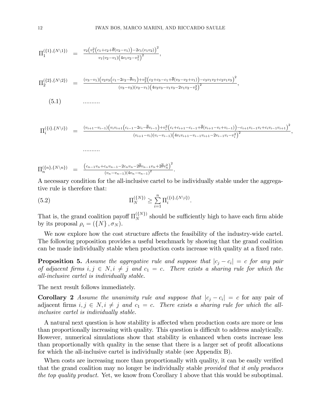$$
\Pi_1^{(\{1\},\{N\setminus 1\})} = \frac{v_2(v_1^2(c_1+c_2+\overline{\theta}(v_2-v_1))-2c_1(v_1v_2))^2}{v_1(v_2-v_1)(4v_1v_2-v_1^2)^2}
$$

$$
\Pi_2^{(\{2\},\{N\backslash 2\})} = \frac{(v_3 - v_1)(v_2v_3(c_1 - 2c_2 - \overline{\theta}v_1) + v_2^2(c_2 + c_3 - c_1 + \overline{\theta}(v_3 - v_2 + v_1)) - c_3v_1v_2 + c_2v_1v_3)^2}{(v_3 - v_2)(v_2 - v_1)(4v_2v_3 - v_1v_3 - 2v_1v_2 - v_2^2)^2}
$$

 $(5.1)$ . . . . . . . . . .

$$
\Pi_i^{(\{i\},\{N\setminus i\})} = \frac{(v_{i+1}-v_{i-1})(v_iv_{i+1}(c_{i-1}-2c_i-\overline{\theta}v_{i-1})+v_i^2(c_i+c_{i+1}-c_{i-1}+\overline{\theta}(v_{i+1}-v_i+v_{i-1})) - c_{i+1}v_{i-1}v_i+c_iv_{i-1}v_{i+1})^2}{(v_{i+1}-v_i)(v_i-v_{i-1})\left(4v_iv_{i+1}-v_{i-1}v_{i+1}-2v_{i-1}v_i-v_i^2\right)^2}
$$

$$
\Pi_n^{(\{n\},\{N\mid n\})} = \frac{(c_{n-1}v_n + c_n v_{n-1} - 2c_n v_n - 2\overline{\theta} v_{n-1}v_n + 2\overline{\theta} v_n^2)^2}{(v_n - v_{n-1})(4v_n - v_{n-1})^2}.
$$

. . . . . . . . . .

A necessary condition for the all-inclusive cartel to be individually stable under the aggregative rule is therefore that:

(5.2) 
$$
\Pi_N^{(\{N\})} \geq \sum_{i=1}^n \Pi_i^{\{i\},\{N\}\ i}.
$$

That is, the grand coalition payoff  $\Pi_N^{\{\{N\}\}}$  should be sufficiently high to have each firm abide by its proposal  $\rho_i = (\{N\}, \sigma_N)$ .

We now explore how the cost structure affects the feasibility of the industry-wide cartel. The following proposition provides a useful benchmark by showing that the grand coalition can be made individually stable when production costs increase with quality at a fixed rate.

**Proposition 5.** Assume the aggregative rule and suppose that  $|c_j - c_i| = c$  for any pair of adjacent firms  $i, j \in N, i \neq j$  and  $c_1 = c$ . There exists a sharing rule for which the all-inclusive cartel is individually stable.

The next result follows immediately.

**Corollary 2** Assume the unanimity rule and suppose that  $|c_i - c_i| = c$  for any pair of adjacent firms  $i, j \in N, i \neq j$  and  $c_1 = c$ . There exists a sharing rule for which the allinclusive cartel is individually stable.

A natural next question is how stability is affected when production costs are more or less than proportionally increasing with quality. This question is difficult to address analytically. However, numerical simulations show that stability is enhanced when costs increase less than proportionally with quality in the sense that there is a larger set of profit allocations for which the all-inclusive cartel is individually stable (see Appendix B).

When costs are increasing more than proportionally with quality, it can be easily verified that the grand coalition may no longer be individually stable *provided that it only produces* the top quality product. Yet, we know from Corollary 1 above that this would be suboptimal.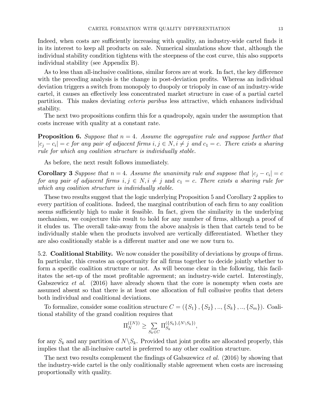Indeed, when costs are sufficiently increasing with quality, an industry-wide cartel finds it in its interest to keep all products on sale. Numerical simulations show that, although the individual stability condition tightens with the steepness of the cost curve, this also supports individual stability (see Appendix B).

As to less than all-inclusive coalitions, similar forces are at work. In fact, the key difference with the preceding analysis is the change in post-deviation profits. Whereas an individual deviation triggers a switch from monopoly to duopoly or triopoly in case of an industry-wide cartel, it causes an effectively less concentrated market structure in case of a partial cartel partition. This makes deviating ceteris paribus less attractive, which enhances individual stability.

The next two propositions confirm this for a quadropoly, again under the assumption that costs increase with quality at a constant rate.

**Proposition 6.** Suppose that  $n = 4$ . Assume the aggregative rule and suppose further that  $|c_j - c_i| = c$  for any pair of adjacent firms  $i, j \in N, i \neq j$  and  $c_1 = c$ . There exists a sharing rule for which any coalition structure is individually stable.

As before, the next result follows immediately.

**Corollary 3** Suppose that  $n = 4$ . Assume the unanimity rule and suppose that  $|c_i - c_i| = c$ for any pair of adjacent firms  $i, j \in N, i \neq j$  and  $c_1 = c$ . There exists a sharing rule for which any coalition structure is individually stable.

These two results suggest that the logic underlying Proposition 5 and Corollary 2 applies to every partition of coalitions. Indeed, the marginal contribution of each firm to any coalition seems sufficiently high to make it feasible. In fact, given the similarity in the underlying mechanism, we conjecture this result to hold for any number of firms, although a proof of it eludes us. The overall take-away from the above analysis is then that cartels tend to be individually stable when the products involved are vertically differentiated. Whether they are also coalitionally stable is a different matter and one we now turn to.

5.2. **Coalitional Stability.** We now consider the possibility of deviations by groups of firms. In particular, this creates an opportunity for all firms together to decide jointly whether to form a specific coalition structure or not. As will become clear in the following, this facilitates the set-up of the most profitable agreement; an industry-wide cartel. Interestingly, Gabszewicz *et al.* (2016) have already shown that the core is nonempty when costs are assumed absent so that there is at least one allocation of full collusive profits that deters both individual and coalitional deviations.

To formalize, consider some coalition structure  $C = (\{S_1\}, \{S_2\}, ..., \{S_k\}, ..., \{S_m\})$ . Coalitional stability of the grand coalition requires that

$$
\Pi_N^{(\{N\})} \ge \sum_{S_k \in C} \Pi_{S_k}^{(\{S_k\}, \{N \setminus S_k\})},
$$

for any  $S_k$  and any partition of  $N\backslash S_k$ . Provided that joint profits are allocated properly, this implies that the all-inclusive cartel is preferred to any other coalition structure.

The next two results complement the findings of Gabszewicz *et al.* (2016) by showing that the industry-wide cartel is the only coalitionally stable agreement when costs are increasing proportionally with quality.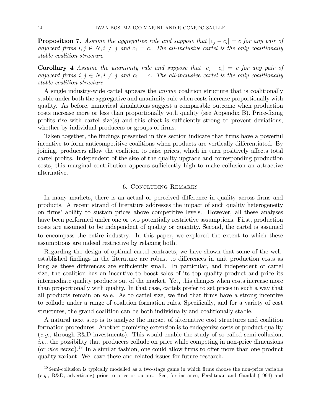**Proposition 7.** Assume the aggregative rule and suppose that  $|c_j - c_i| = c$  for any pair of adjacent firms  $i, j \in N, i \neq j$  and  $c_1 = c$ . The all-inclusive cartel is the only coalitionally stable coalition structure.

**Corollary 4** Assume the unanimity rule and suppose that  $|c_j - c_i| = c$  for any pair of adjacent firms  $i, j \in N, i \neq j$  and  $c_1 = c$ . The all-inclusive cartel is the only coalitionally stable coalition structure.

A single industry-wide cartel appears the unique coalition structure that is coalitionally stable under both the aggregative and unanimity rule when costs increase proportionally with quality. As before, numerical simulations suggest a comparable outcome when production costs increase more or less than proportionally with quality (see Appendix B). Price-fixing profits rise with cartel size(s) and this effect is sufficiently strong to prevent deviations, whether by individual producers or groups of firms.

Taken together, the findings presented in this section indicate that firms have a powerful incentive to form anticompetitive coalitions when products are vertically differentiated. By joining, producers allow the coalition to raise prices, which in turn positively affects total cartel profits. Independent of the size of the quality upgrade and corresponding production costs, this marginal contribution appears sufficiently high to make collusion an attractive alternative.

#### 6. Concluding Remarks

In many markets, there is an actual or perceived difference in quality across firms and products. A recent strand of literature addresses the impact of such quality heterogeneity on firms' ability to sustain prices above competitive levels. However, all these analyses have been performed under one or two potentially restrictive assumptions. First, production costs are assumed to be independent of quality or quantity. Second, the cartel is assumed to encompass the entire industry. In this paper, we explored the extent to which these assumptions are indeed restrictive by relaxing both.

Regarding the design of optimal cartel contracts, we have shown that some of the wellestablished findings in the literature are robust to differences in unit production costs as long as these differences are sufficiently small. In particular, and independent of cartel size, the coalition has an incentive to boost sales of its top quality product and price its intermediate quality products out of the market. Yet, this changes when costs increase more than proportionally with quality. In that case, cartels prefer to set prices in such a way that all products remain on sale. As to cartel size, we find that firms have a strong incentive to collude under a range of coalition formation rules. Specifically, and for a variety of cost structures, the grand coalition can be both individually and coalitionally stable.

A natural next step is to analyze the impact of alternative cost structures and coalition formation procedures. Another promising extension is to endogenize costs or product quality (e.g., through R&D investments). This would enable the study of so-called semi-collusion, i.e., the possibility that producers collude on price while competing in non-price dimensions (or *vice versa*).<sup>18</sup> In a similar fashion, one could allow firms to offer more than one product quality variant. We leave these and related issues for future research.

 $18$ Semi-collusion is typically modelled as a two-stage game in which firms choose the non-price variable (e.g., R&D, advertising) prior to price or output. See, for instance, Fershtman and Gandal (1994) and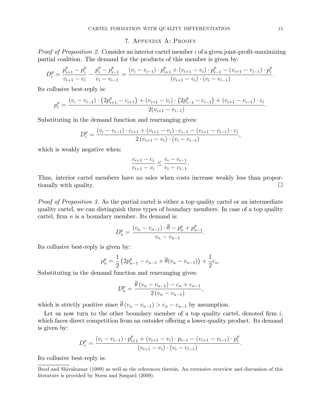#### 7. Appendix A: Proofs

*Proof of Proposition 2.* Consider an interior cartel member  $i$  of a given joint-profit-maximizing partial coalition. The demand for the products of this member is given by:

$$
D_i^p = \frac{p_{i+1}^p - p_i^p}{v_{i+1} - v_i} - \frac{p_i^p - p_{i-1}^p}{v_i - v_{i-1}} = \frac{(v_i - v_{i-1}) \cdot p_{i+1}^p + (v_{i+1} - v_i) \cdot p_{i-1}^p - (v_{i+1} - v_{i-1}) \cdot p_i^p}{(v_{i+1} - v_i) \cdot (v_i - v_{i-1})}.
$$

Its collusive best-reply is:

$$
p_i^p = \frac{(v_i - v_{i-1}) \cdot (2p_{i+1}^p - c_{i+1}) + (v_{i+1} - v_i) \cdot (2p_{i-1}^p - c_{i-1}) + (v_{i+1} - v_{i-1}) \cdot c_i}{2(v_{i+1} - v_{i-1})}.
$$

Substituting in the demand function and rearranging gives:

$$
D_i^p = \frac{(v_i - v_{i-1}) \cdot c_{i+1} + (v_{i+1} - v_i) \cdot c_{i-1} - (v_{i+1} - v_{i-1}) \cdot c_i}{2 (v_{i+1} - v_i) \cdot (v_i - v_{i-1})},
$$

which is weakly negative when:

$$
\frac{c_{i+1} - c_i}{v_{i+1} - v_i} \le \frac{c_i - c_{i-1}}{v_i - v_{i-1}}.
$$

Thus, interior cartel members have no sales when costs increase weakly less than proportionally with quality.

Proof of Proposition 3. As the partial cartel is either a top quality cartel or an intermediate quality cartel, we can distinguish three types of boundary members. In case of a top quality cartel, firm  $n$  is a boundary member. Its demand is:

$$
D_n^p = \frac{(v_n - v_{n-1}) \cdot \overline{\theta} - p_n^p + p_{n-1}^p}{v_n - v_{n-1}}.
$$

Its collusive best-reply is given by:

$$
p_n^p = \frac{1}{2} \left( 2p_{n-1}^p - c_{n-1} + \overline{\theta}(v_n - v_{n-1}) \right) + \frac{1}{2} c_n.
$$

Substituting in the demand function and rearranging gives:

$$
D_n^p = \frac{\theta (v_n - v_{n-1}) - c_n + c_{n-1}}{2 (v_n - v_{n-1})},
$$

which is strictly positive since  $\overline{\theta}(v_n - v_{n-1}) > c_n - c_{n-1}$  by assumption.

Let us now turn to the other boundary member of a top quality cartel, denoted firm  $i$ , which faces direct competition from an outsider offering a lower-quality product. Its demand is given by:

$$
D_i^p = \frac{(v_i - v_{i-1}) \cdot p_{i+1}^p + (v_{i+1} - v_i) \cdot p_{i-1} - (v_{i+1} - v_{i-1}) \cdot p_i^p}{(v_{i+1} - v_i) \cdot (v_i - v_{i-1})}.
$$

Its collusive best-reply is:

Brod and Shivakumar (1999) as well as the references therein. An extensive overview and discussion of this literature is provided by Steen and Sørgard (2009).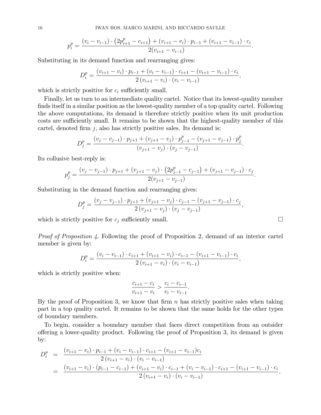$$
p_i^p = \frac{(v_i - v_{i-1}) \cdot (2p_{i+1}^p - c_{i+1}) + (v_{i+1} - v_i) \cdot p_{i-1} + (v_{i+1} - v_{i-1}) \cdot c_i}{2(v_{i+1} - v_{i-1})}.
$$

Substituting in its demand function and rearranging gives:

$$
D_i^p = \frac{(v_{i+1} - v_i) \cdot p_{i-1} + (v_i - v_{i-1}) \cdot c_{i+1} - (v_{i+1} - v_{i-1}) \cdot c_i}{2 (v_{i+1} - v_i) \cdot (v_i - v_{i-1})},
$$

which is strictly positive for  $c_i$  sufficiently small.

Finally, let us turn to an intermediate quality cartel. Notice that its lowest-quality member finds itself in a similar position as the lowest-quality member of a top quality cartel. Following the above computations, its demand is therefore strictly positive when its unit production costs are sufficiently small. It remains to be shown that the highest-quality member of this cartel, denoted firm  $j$ , also has strictly positive sales. Its demand is:

$$
D_j^p = \frac{(v_j - v_{j-1}) \cdot p_{j+1} + (v_{j+1} - v_j) \cdot p_{j-1}^p - (v_{j+1} - v_{j-1}) \cdot p_j^p}{(v_{j+1} - v_j) \cdot (v_j - v_{j-1})}.
$$

Its collusive best-reply is:

$$
p_j^p = \frac{(v_j - v_{j-1}) \cdot p_{j+1} + (v_{j+1} - v_j) \cdot (2p_{j-1}^p - c_{j-1}) + (v_{j+1} - v_{j-1}) \cdot c_j}{2(v_{j+1} - v_{j-1})}.
$$

Substituting in the demand function and rearranging gives:

$$
D_j^p = \frac{(v_j - v_{j-1}) \cdot p_{j+1} + (v_{j+1} - v_j) \cdot c_{j-1} - (v_{j+1} - v_{j-1}) \cdot c_j}{2 (v_{j+1} - v_j) \cdot (v_j - v_{j-1})},
$$

which is strictly positive for  $c_j$  sufficiently small.  $\Box$ 

Proof of Proposition 4. Following the proof of Proposition 2, demand of an interior cartel member is given by:

$$
D_i^p = \frac{(v_i - v_{i-1}) \cdot c_{i+1} + (v_{i+1} - v_i) \cdot c_{i-1} - (v_{i+1} - v_{i-1}) \cdot c_i}{2 (v_{i+1} - v_i) \cdot (v_i - v_{i-1})},
$$

which is strictly positive when:

$$
\frac{c_{i+1} - c_i}{v_{i+1} - v_i} > \frac{c_i - c_{i-1}}{v_i - v_{i-1}}.
$$

By the proof of Proposition 3, we know that firm  $n$  has strictly positive sales when taking part in a top quality cartel. It remains to be shown that the same holds for the other types of boundary members.

To begin, consider a boundary member that faces direct competition from an outsider o§ering a lower-quality product. Following the proof of Proposition 3, its demand is given by:

$$
D_i^p = \frac{(v_{i+1} - v_i) \cdot p_{i-1} + (v_i - v_{i-1}) \cdot c_{i+1} - (v_{i+1} - v_{i-1})c_i}{2(v_{i+1} - v_i) \cdot (v_i - v_{i-1})}
$$
  
= 
$$
\frac{(v_{i+1} - v_i) \cdot (p_{i-1} - c_{i-1}) + (v_{i+1} - v_i) \cdot c_{i-1} + (v_i - v_{i-1}) \cdot c_{i+1} - (v_{i+1} - v_{i-1}) \cdot c_i}{2(v_{i+1} - v_i) \cdot (v_i - v_{i-1})},
$$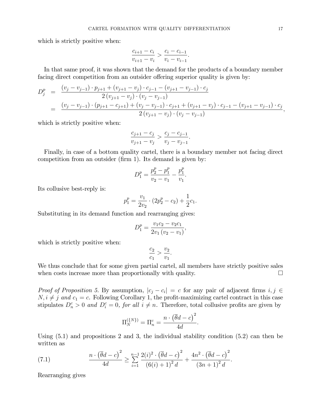which is strictly positive when:

$$
\frac{c_{i+1} - c_i}{v_{i+1} - v_i} > \frac{c_i - c_{i-1}}{v_i - v_{i-1}}.
$$

In that same proof, it was shown that the demand for the products of a boundary member facing direct competition from an outsider offering superior quality is given by:

$$
D_j^p = \frac{(v_j - v_{j-1}) \cdot p_{j+1} + (v_{j+1} - v_j) \cdot c_{j-1} - (v_{j+1} - v_{j-1}) \cdot c_j}{2(v_{j+1} - v_j) \cdot (v_j - v_{j-1})}
$$
  
= 
$$
\frac{(v_j - v_{j-1}) \cdot (p_{j+1} - c_{j+1}) + (v_j - v_{j-1}) \cdot c_{j+1} + (v_{j+1} - v_j) \cdot c_{j-1} - (v_{j+1} - v_{j-1}) \cdot c_j}{2(v_{j+1} - v_j) \cdot (v_j - v_{j-1})},
$$

which is strictly positive when:

$$
\frac{c_{j+1} - c_j}{v_{j+1} - v_j} > \frac{c_j - c_{j-1}}{v_j - v_{j-1}}.
$$

Finally, in case of a bottom quality cartel, there is a boundary member not facing direct competition from an outsider (firm 1). Its demand is given by:

$$
D_1^p = \frac{p_2^p - p_1^p}{v_2 - v_1} - \frac{p_1^p}{v_1}.
$$

Its collusive best-reply is:

$$
p_1^p = \frac{v_1}{2v_2} \cdot (2p_2^p - c_2) + \frac{1}{2}c_1.
$$

Substituting in its demand function and rearranging gives:

$$
D_1^p = \frac{v_1 c_2 - v_2 c_1}{2v_1 (v_2 - v_1)},
$$

which is strictly positive when:

$$
\frac{c_2}{c_1} > \frac{v_2}{v_1}.
$$

We thus conclude that for some given partial cartel, all members have strictly positive sales when costs increase more than proportionally with quality.  $\Box$ 

*Proof of Proposition 5.* By assumption,  $|c_j - c_i| = c$  for any pair of adjacent firms  $i, j \in$  $N, i \neq j$  and  $c_1 = c$ . Following Corollary 1, the profit-maximizing cartel contract in this case stipulates  $D_n^c > 0$  and  $D_i^c = 0$ , for all  $i \neq n$ . Therefore, total collusive profits are given by

$$
\Pi_N^{(\{N\})} = \Pi_n^c = \frac{n \cdot (\overline{\theta}d - c)^2}{4d}.
$$

Using (5.1) and propositions 2 and 3, the individual stability condition (5.2) can then be written as

(7.1) 
$$
\frac{n \cdot (\overline{\theta}d - c)^2}{4d} \geq \sum_{i=1}^{n-1} \frac{2(i)^2 \cdot (\overline{\theta}d - c)^2}{(6(i) + 1)^2 d} + \frac{4n^2 \cdot (\overline{\theta}d - c)^2}{(3n + 1)^2 d}.
$$

Rearranging gives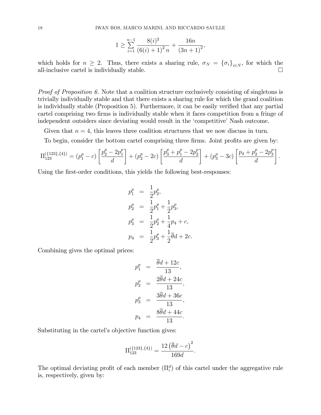$$
1 \ge \sum_{i=1}^{n-1} \frac{8(i)^2}{\left(6(i) + 1\right)^2 n} + \frac{16n}{\left(3n + 1\right)^2},
$$

which holds for  $n \geq 2$ . Thus, there exists a sharing rule,  $\sigma_N = {\{\sigma_i\}}_{i \in N}$ , for which the all-inclusive cartel is individually stable. all-inclusive cartel is individually stable.

Proof of Proposition 6. Note that a coalition structure exclusively consisting of singletons is trivially individually stable and that there exists a sharing rule for which the grand coalition is individually stable (Proposition 5). Furthermore, it can be easily verified that any partial cartel comprising two firms is individually stable when it faces competition from a fringe of independent outsiders since deviating would result in the 'competitive' Nash outcome.

Given that  $n = 4$ , this leaves three coalition structures that we now discuss in turn.

To begin, consider the bottom cartel comprising three firms. Joint profits are given by:

$$
\Pi_{123}^{(\{123\},\{4\})} = (p_1^p - c) \left[ \frac{p_2^p - 2p_1^p}{d} \right] + (p_2^p - 2c) \left[ \frac{p_3^p + p_1^p - 2p_2^p}{d} \right] + (p_3^p - 3c) \left[ \frac{p_4 + p_2^p - 2p_3^p}{d} \right].
$$

Using the first-order conditions, this yields the following best-responses:

$$
p_1^p = \frac{1}{2}p_2^p,
$$
  
\n
$$
p_2^p = \frac{1}{2}p_1^p + \frac{1}{2}p_3^p,
$$
  
\n
$$
p_3^p = \frac{1}{2}p_2^p + \frac{1}{4}p_4 + c,
$$
  
\n
$$
p_4 = \frac{1}{2}p_3^p + \frac{1}{2}\overline{\theta}d + 2c.
$$

Combining gives the optimal prices:

$$
p_1^p = \frac{\theta d + 12c}{13},
$$
  
\n
$$
p_2^p = \frac{2\overline{\theta}d + 24c}{13},
$$
  
\n
$$
p_3^p = \frac{3\overline{\theta}d + 36c}{13},
$$
  
\n
$$
p_4 = \frac{8\overline{\theta}d + 44c}{13}.
$$

Substituting in the cartel's objective function gives:

$$
\Pi_{123}^{(\{123\},\{4\})} = \frac{12(\overline{\theta}d - c)^2}{169d}.
$$

The optimal deviating profit of each member  $(\Pi_i^d)$  of this cartel under the aggregative rule is, respectively, given by: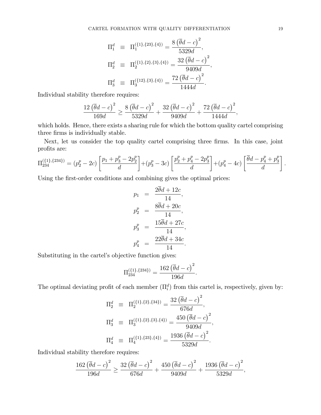$$
\Pi_1^d \equiv \Pi_1^{(\{1\},\{23\},\{4\})} = \frac{8(\bar{\theta}d-c)^2}{5329d}, \n\Pi_2^d \equiv \Pi_2^{(\{1\},\{2\},\{3\},\{4\})} = \frac{32(\bar{\theta}d-c)^2}{9409d}, \n\Pi_3^d \equiv \Pi_3^{(\{12\},\{3\},\{4\})} = \frac{72(\bar{\theta}d-c)^2}{1444d}.
$$

Individual stability therefore requires:

$$
\frac{12\left(\overline{\theta}d-c\right)^{2}}{169d} \ge \frac{8\left(\overline{\theta}d-c\right)^{2}}{5329d} + \frac{32\left(\overline{\theta}d-c\right)^{2}}{9409d} + \frac{72\left(\overline{\theta}d-c\right)^{2}}{1444d},
$$

which holds. Hence, there exists a sharing rule for which the bottom quality cartel comprising three firms is individually stable.

Next, let us consider the top quality cartel comprising three firms. In this case, joint profits are:

$$
\Pi_{234}^{(\{1\},\{234\})} = (p_2^p - 2c) \left[ \frac{p_1 + p_3^p - 2p_2^p}{d} \right] + (p_3^p - 3c) \left[ \frac{p_2^p + p_4^p - 2p_3^p}{d} \right] + (p_4^p - 4c) \left[ \frac{\overline{\theta}d - p_4^p + p_3^p}{d} \right].
$$

Using the first-order conditions and combining gives the optimal prices:

$$
p_1 = \frac{2\theta d + 12c}{14},
$$
  
\n
$$
p_2^p = \frac{8\overline{\theta}d + 20c}{14},
$$
  
\n
$$
p_3^p = \frac{15\overline{\theta}d + 27c}{14},
$$
  
\n
$$
p_4^p = \frac{22\overline{\theta}d + 34c}{14}.
$$

Substituting in the cartel's objective function gives:

$$
\Pi_{234}^{(\{1\},\{234\})} = \frac{162(\overline{\theta}d - c)^2}{196d}.
$$

The optimal deviating profit of each member  $(\Pi_i^d)$  from this cartel is, respectively, given by:

$$
\Pi_2^d \equiv \Pi_2^{(\{1\},\{2\},\{34\})} = \frac{32(\bar{\theta}d-c)^2}{676d}, \n\Pi_3^d \equiv \Pi_3^{(\{1\},\{2\},\{3\},\{4\})} = \frac{450(\bar{\theta}d-c)^2}{9409d}, \n\Pi_4^d \equiv \Pi_4^{(\{1\},\{23\},\{4\})} = \frac{1936(\bar{\theta}d-c)^2}{5329d}.
$$

Individual stability therefore requires:

$$
\frac{162\left(\overline{\theta}d-c\right)^2}{196d} \ge \frac{32\left(\overline{\theta}d-c\right)^2}{676d} + \frac{450\left(\overline{\theta}d-c\right)^2}{9409d} + \frac{1936\left(\overline{\theta}d-c\right)^2}{5329d},
$$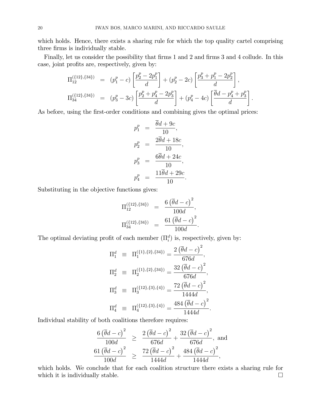which holds. Hence, there exists a sharing rule for which the top quality cartel comprising three firms is individually stable.

Finally, let us consider the possibility that firms 1 and 2 and firms 3 and 4 collude. In this case, joint profits are, respectively, given by:

$$
\Pi_{12}^{(\{12\},\{34\})} = (p_1^p - c) \left[ \frac{p_2^p - 2p_1^p}{d} \right] + (p_2^p - 2c) \left[ \frac{p_3^p + p_1^p - 2p_2^p}{d} \right],
$$
  
\n
$$
\Pi_{34}^{(\{12\},\{34\})} = (p_3^p - 3c) \left[ \frac{p_2^p + p_4^p - 2p_3^p}{d} \right] + (p_4^p - 4c) \left[ \frac{\overline{\theta}d - p_4^p + p_3^p}{d} \right].
$$

As before, using the first-order conditions and combining gives the optimal prices:

$$
p_1^p = \frac{\overline{\theta}d + 9c}{10},
$$
  
\n
$$
p_2^p = \frac{2\overline{\theta}d + 18c}{10},
$$
  
\n
$$
p_3^p = \frac{6\overline{\theta}d + 24c}{10},
$$
  
\n
$$
p_4^p = \frac{11\overline{\theta}d + 29c}{10}.
$$

Substituting in the objective functions gives:

$$
\Pi_{12}^{(\{12\},\{34\})} = \frac{6(\bar{\theta}d-c)^2}{100d}, \n\Pi_{34}^{(\{12\},\{34\})} = \frac{61(\bar{\theta}d-c)^2}{100d}.
$$

The optimal deviating profit of each member  $(\Pi_i^d)$  is, respectively, given by:

$$
\Pi_1^d \equiv \Pi_1^{\{\{1\},\{2\},\{34\}\}} = \frac{2(\overline{\theta}d - c)^2}{676d},
$$
  
\n
$$
\Pi_2^d \equiv \Pi_2^{\{\{1\},\{2\},\{34\}\}} = \frac{32(\overline{\theta}d - c)^2}{676d},
$$
  
\n
$$
\Pi_3^d \equiv \Pi_3^{\{\{12\},\{3\},\{4\}\}} = \frac{72(\overline{\theta}d - c)^2}{1444d},
$$
  
\n
$$
\Pi_4^d \equiv \Pi_4^{\{\{12\},\{3\},\{4\}\}} = \frac{484(\overline{\theta}d - c)^2}{1444d}.
$$

Individual stability of both coalitions therefore requires:

$$
\frac{6(\overline{\theta}d-c)^2}{100d} \ge \frac{2(\overline{\theta}d-c)^2}{676d} + \frac{32(\overline{\theta}d-c)^2}{676d}, \text{ and}
$$
  

$$
\frac{61(\overline{\theta}d-c)^2}{100d} \ge \frac{72(\overline{\theta}d-c)^2}{1444d} + \frac{484(\overline{\theta}d-c)^2}{1444d},
$$

which holds. We conclude that for each coalition structure there exists a sharing rule for which it is individually stable.  $\Box$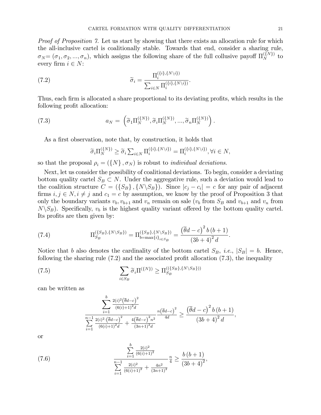Proof of Proposition 7. Let us start by showing that there exists an allocation rule for which the all-inclusive cartel is coalitionally stable. Towards that end, consider a sharing rule,  $\sigma_N = (\sigma_1, \sigma_2, ..., \sigma_n)$ , which assigns the following share of the full collusive payoff  $\Pi_N^{(\{N\})}$  to every firm  $i \in N$ :

(7.2) 
$$
\widetilde{\sigma}_i = \frac{\Pi_i^{\{\{i\},\{N\}\}}}{\sum_{i\in N} \Pi_i^{\{\{i\},\{N\}\}}}
$$

Thus, each firm is allocated a share proportional to its deviating profits, which results in the following profit allocation:

(7.3) 
$$
a_N = \left(\widetilde{\sigma}_1 \Pi_N^{\{\{N\}\}}, \widetilde{\sigma}_i \Pi_N^{\{\{N\}\}}, ..., \widetilde{\sigma}_n \Pi_N^{\{\{N\}\}}\right).
$$

As a first observation, note that, by construction, it holds that

$$
\widetilde{\sigma}_i \Pi_N^{(\{N\})} \ge \widetilde{\sigma}_i \sum_{i \in N} \Pi_i^{(\{i\}, \{N \setminus i\})} = \Pi_i^{(\{i\}, \{N \setminus i\})}, \forall i \in N,
$$

so that the proposal  $\rho_i = (\{N\}, \sigma_N)$  is robust to *individual deviations*.

Next, let us consider the possibility of coalitional deviations. To begin, consider a deviating bottom quality cartel  $S_B \subset N$ . Under the aggregative rule, such a deviation would lead to the coalition structure  $C = (\{S_B\}, \{N\setminus S_B\})$ . Since  $|c_i - c_i| = c$  for any pair of adjacent firms  $i, j \in N, i \neq j$  and  $c_1 = c$  by assumption, we know by the proof of Proposition 3 that only the boundary variants  $v_b$ ,  $v_{b+1}$  and  $v_n$  remain on sale ( $v_b$  from  $S_B$  and  $v_{b+1}$  and  $v_n$  from  $N\setminus S_B$ ). Specifically,  $v_b$  is the highest quality variant offered by the bottom quality cartel. Its profits are then given by:

(7.4) 
$$
\Pi_{S_B}^{(\{S_B\}, \{N\setminus S_B\})} = \Pi_{b=\max\{i\}_{i\in S_B}}^{(\{S_B\}, \{N\setminus S_B\})} = \frac{(\overline{\theta}d-c)^2 b (b+1)}{(3b+4)^2 d}.
$$

Notice that b also denotes the cardinality of the bottom cartel  $S_B$ , *i.e.*,  $|S_B| = b$ . Hence, following the sharing rule  $(7.2)$  and the associated profit allocation  $(7.3)$ , the inequality

(7.5) 
$$
\sum_{i \in S_B} \widetilde{\sigma}_i \Pi^{\{\{N\}\}} \ge \Pi_{S_B}^{(\{\{S_B\}, \{N \setminus S_B\})\}}
$$

can be written as

$$
\frac{\sum_{i=1}^{b} \frac{2^{(i)}(\overline{\theta}d-c)^{2}}{(6(i)+1)^{2}d}}{\sum_{i=1}^{n-1} \frac{2^{(i)}(\overline{\theta}d-c)^{2}}{(6(i)+1)^{2}d} + \frac{4(\overline{\theta}d-c)^{2}n^{2}}{(3n+1)^{2}d}} \geq \frac{(\overline{\theta}d-c)^{2}b(b+1)}{(3b+4)^{2}d},
$$

or

(7.6) 
$$
\frac{\sum_{i=1}^{b} \frac{2(i)^2}{(6(i)+1)^2}}{\sum_{i=1}^{n-1} \frac{2(i)^2}{(6(i)+1)^2} + \frac{4n^2}{(3n+1)^2}} \frac{n}{4} \ge \frac{b(b+1)}{(3b+4)^2},
$$

b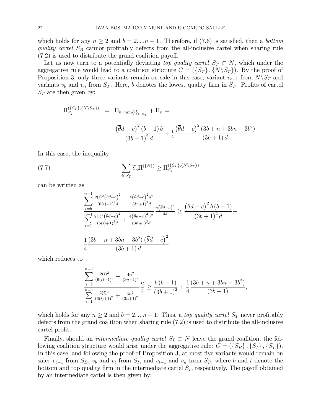which holds for any  $n \geq 2$  and  $b = 2, \ldots n - 1$ . Therefore, if (7.6) is satisfied, then a *bottom* quality cartel  $S_B$  cannot profitably defects from the all-inclusive cartel when sharing rule  $(7.2)$  is used to distribute the grand coalition payoff.

Let us now turn to a potentially deviating top quality cartel  $S_T \subset N$ , which under the aggregative rule would lead to a coalition structure  $C = (\{S_T\}, \{N \setminus S_T\})$ . By the proof of Proposition 3, only three variants remain on sale in this case; variant  $v_{b-1}$  from  $N\backslash S_T$  and variants  $v_b$  and  $v_n$  from  $S_T$ . Here, b denotes the lowest quality firm in  $S_T$ . Profits of cartel  $S_T$  are then given by:

$$
\Pi_{S_T}^{(\{S_T\}, \{N \setminus S_T\})} = \Pi_{b=\min\{i\}_{i \in S_T}} + \Pi_n =
$$
\n
$$
\frac{(\overline{\theta}d - c)^2 (b - 1) b}{(3b + 1)^2 d} + \frac{1}{4} \frac{(\overline{\theta}d - c)^2 (3b + n + 3bn - 3b^2)}{(3b + 1) d}.
$$

In this case, the inequality

(7.7) 
$$
\sum_{i \in S_T} \widetilde{\sigma}_i \Pi^{\{\{N\}\}} \ge \Pi_{S_T}^{\{\{S_T\},\{N\setminus S_T\}\}}
$$

can be written as

$$
\frac{\sum_{i=b}^{n-1} \frac{2(i)^2 (\overline{\theta}d-c)^2}{(6(i)+1)^2 d} + \frac{4(\overline{\theta}d-c)^2 n^2}{(3n+1)^2 d}}{\sum_{i=1}^{n-1} \frac{2(i)^2 (\overline{\theta}d-c)^2}{(6(i)+1)^2 d} + \frac{4(\overline{\theta}d-c)^2 n^2}{(3n+1)^2 d}} \ge \frac{(\overline{\theta}d-c)^2 b (b-1)}{(3b+1)^2 d} + \frac{1}{(3b+1)^2 d}.
$$
\n
$$
\frac{1}{4} \frac{(3b+n+3bn-3b^2) (\overline{\theta}d-c)^2}{(3b+1) d},
$$

which reduces to

$$
\sum_{i=b}^{n-1} \frac{2^{i2}}{(6(i)+1)^2} + \frac{4n^2}{(3n+1)^2} \frac{n}{4} \ge \frac{b(b-1)}{(3b+1)^2} + \frac{1}{4} \frac{(3b+n+3bn-3b^2)}{(3b+1)},
$$
  

$$
\sum_{i=1}^{n-1} \frac{2^{i2}}{(6(i)+1)^2} + \frac{4n^2}{(3n+1)^2} \frac{1}{(3b+1)^2} + \frac{1}{4} \frac{(3b+n+3bn-3b^2)}{(3b+1)},
$$

which holds for any  $n \geq 2$  and  $b = 2,...n - 1$ . Thus, a top quality cartel  $S_T$  never profitably defects from the grand coalition when sharing rule (7.2) is used to distribute the all-inclusive cartel profit.

Finally, should an *intermediate quality cartel*  $S_I \subset N$  leave the grand coalition, the following coalition structure would arise under the aggregative rule:  $C = (\{S_B\}, \{S_I\}, \{S_T\}).$ In this case, and following the proof of Proposition 3, at most five variants would remain on sale:  $v_{b-1}$  from  $S_B$ ,  $v_b$  and  $v_t$  from  $S_I$ , and  $v_{t+1}$  and  $v_n$  from  $S_T$ , where b and t denote the bottom and top quality firm in the intermediate cartel  $S_I$ , respectively. The payoff obtained by an intermediate cartel is then given by: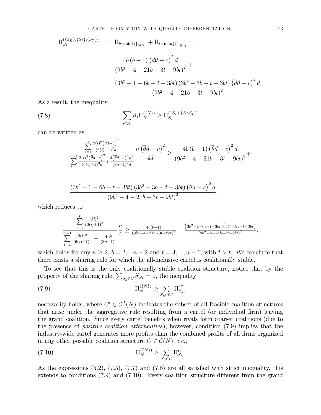$$
\Pi_{S_I}^{(\{S_B\}, \{S_I\}, \{S_T\})} = \Pi_{b=\min\{i\}_{i \in S_I}} + \Pi_{t=\max\{i\}_{i \in S_I}} =
$$
\n
$$
\frac{4b(b-1) (d\overline{\theta} - c)^2 d}{(9b^2 - 4 - 21b - 3t - 9bt)^2} +
$$
\n
$$
\frac{(3b^2 - 1 - 6b - t - 3bt) (3b^2 - 3b - t - 3bt) (d\overline{\theta} - c)^2 d}{(9b^2 - 4 - 21b - 3t - 9bt)^2}.
$$

As a result, the inequality

(7.8) 
$$
\sum_{i \in S_I} \widetilde{\sigma}_i \Pi_N^{\{\{N\}\}} \ge \Pi_{S_I}^{\{\{S_I\},\{N\setminus S_I\}\}}
$$

can be written as

$$
\frac{\sum_{i=b}^{t} \frac{2(i)^2 (\overline{\theta}d-c)^2}{(6(i)+1)^2 d}}{\sum_{i=1}^{n-1} \frac{2(i)^2 (\overline{\theta}d-c)^2}{(6(i)+1)^2 d} + \frac{4(\overline{\theta}d-c)^2 n^2}{(3n+1)^2 d}} \frac{n (\overline{\theta}d-c)^2}{4d} \ge \frac{4b (b-1) (\overline{\theta}d-c)^2 d}{(9b^2 - 4 - 21b - 3t - 9bt)^2} +
$$

$$
\frac{(3b^2 - 1 - 6b - t - 3bt) (3b^2 - 3b - t - 3bt) (\overline{\theta}d - c)^2 d}{(9b^2 - 4 - 21b - 3t - 9bt)^2},
$$

which reduces to

$$
\frac{\sum_{i=b}^{t} \frac{2(i)^2}{(6(i)+1)^2}}{\sum_{i=1}^{n-1} \frac{2(i)^2}{(6(i)+1)^2} + \frac{4n^2}{(3n+1)^2}} \frac{n}{4} \ge \frac{4b(b-1)}{(9b^2 - 4 - 21b - 3t - 9bt)^2} + \frac{(3b^2 - 1 - 6b - t - 3bt)(3b^2 - 3b - t - 3bt)}{(9b^2 - 4 - 21b - 3t - 9bt)^2},
$$

which holds for any  $n \geq 2$ ,  $b = 2, \ldots n-2$  and  $t = 3, \ldots, n-1$ , with  $t > b$ . We conclude that there exists a sharing rule for which the all-inclusive cartel is coalitionally stable.

To see that this is the only coalitionally stable coalition structure, notice that by the property of the sharing rule,  $\sum_{S_k \in C} \widetilde{\sigma}_{S_k} = 1$ , the inequality

(7.9) 
$$
\Pi_N^{(\{N\})} \ge \sum_{S_k \in C'} \Pi_{S_k}^{C'},
$$

necessarily holds, where  $C' \in \mathcal{C}^{A}(N)$  indicates the subset of all feasible coalition structures that arise under the aggregative rule resulting from a cartel (or individual firm) leaving the grand coalition. Since every cartel benefits when rivals form coarser coalitions (due to the presence of positive coalition externalities), however, condition (7.9) implies that the industry-wide cartel generates more profits than the combined profits of all firms organized in any other possible coalition structure  $C \in \mathcal{C}(N)$ , *i.e.*,

(7.10) 
$$
\Pi_N^{(\{N\})} \ge \sum_{S_k \in C} \Pi_{S_k}^C.
$$

As the expressions  $(5.2)$ ,  $(7.5)$ ,  $(7.7)$  and  $(7.8)$  are all satisfied with strict inequality, this extends to conditions  $(7.9)$  and  $(7.10)$ . Every coalition structure different from the grand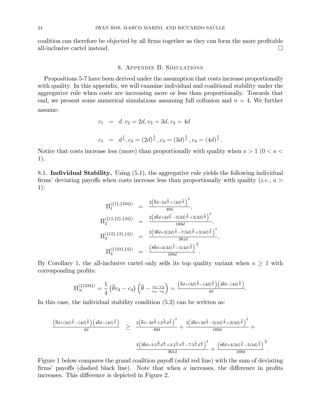coalition can therefore be objected by all firms together as they can form the more profitable all-inclusive cartel instead.  $\Box$ 

#### 8. Appendix B: Simulations

Propositions 5-7 have been derived under the assumption that costs increase proportionally with quality. In this appendix, we will examine individual and coalitional stability under the aggregative rule when costs are increasing more or less than proportionally. Towards that end, we present some numerical simulations assuming full collusion and  $n = 4$ . We further assume:

$$
v_1 = d, v_2 = 2d, v_3 = 3d, v_4 = 4d
$$
  

$$
c_1 = d^{\frac{1}{a}}, c_2 = (2d)^{\frac{1}{a}}, c_3 = (3d)^{\frac{1}{a}}, c_4 = (4d)^{\frac{1}{a}}.
$$

Notice that costs increase less (more) than proportionally with quality when  $a > 1$  ( $0 < a <$ ) 1).

8.1. Individual Stability. Using (5.1), the aggregative rule yields the following individual firms' deviating payoffs when costs increase less than proportionally with quality (*i.e.*,  $a >$ 1):

$$
\Pi_1^{(\{1\},\{234\})} = \frac{2(\bar{\theta}d - 3d^{\frac{1}{\alpha}} + (2d)^{\frac{1}{\alpha}})^2}{49d}, \n\Pi_2^{(\{1\},\{2\},\{34\})} = \frac{2(2\bar{\theta}d + 2d^{\frac{1}{\alpha}} - 5(2d)^{\frac{1}{\alpha}} + 2(3d)^{\frac{1}{\alpha}})^2}{169d}, \n\Pi_3^{(\{12\},\{3\},\{4\})} = \frac{2(3\bar{\theta}d + 3(2d)^{\frac{1}{\alpha}} - 7(3d)^{\frac{1}{\alpha}} + 3(4d)^{\frac{1}{\alpha}})^2}{361d}, \n\Pi_4^{(\{123\},\{4\})} = \frac{(\overline{8\bar{\theta}d} + 4(3d)^{\frac{1}{\alpha}} - 5(4d)^{\frac{1}{\alpha}})^2}{169d}.
$$

By Corollary 1, the all-inclusive cartel only sells its top quality variant when  $a \geq 1$  with corresponding profits:

$$
\Pi_N^{(\{1234\})} = \frac{1}{4} \left( \overline{\theta} v_4 - c_4 \right) \left( \overline{\theta} - \frac{c_4 - c_3}{v_4 - v_3} \right) = \frac{\left( \overline{\theta} d + (3d)^{\frac{1}{\alpha}} - (4d)^{\frac{1}{\alpha}} \right) \left( 4\overline{\theta} d - (4d)^{\frac{1}{\alpha}} \right)}{4d}.
$$

In this case, the individual stability condition  $(5.2)$  can be written as:

$$
\frac{\left(\overline{\theta}d + (3d)^{\frac{1}{a}} - (4d)^{\frac{1}{a}}\right)\left(4\overline{\theta}d - (4d)^{\frac{1}{a}}\right)}{4d} \geq \frac{2\left(\overline{\theta}d - 3d^{\frac{1}{a}} + 2^{\frac{1}{a}}d^{\frac{1}{a}}\right)^{2}}{49d} + \frac{2\left(2\overline{\theta}d + 2d^{\frac{1}{a}} - 5(2d)^{\frac{1}{a}} + 2(3d)^{\frac{1}{a}}\right)^{2}}{169d} + \frac{2\left(3\overline{\theta}d + 3\cdot2^{\frac{1}{a}}d^{\frac{1}{a}} + 3\cdot2^{\frac{1}{a}}d^{\frac{1}{a}} - 7\cdot3^{\frac{1}{a}}d^{\frac{1}{a}}\right)^{2}}{361d} + \frac{\left(8\overline{\theta}d + 4(3d)^{\frac{1}{a}} - 5(4d)^{\frac{1}{a}}\right)^{2}}{169d}.
$$

Figure 1 below compares the grand coalition payoff (solid red line) with the sum of deviating firms' payoffs (dashed black line). Note that when  $\alpha$  increases, the difference in profits increases. This difference is depicted in Figure 2.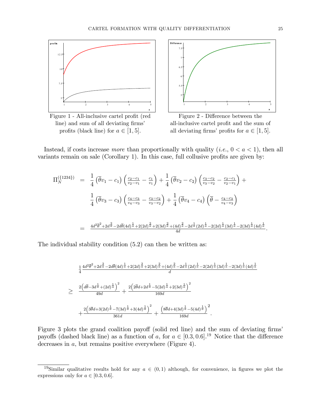

Figure 1 - All-inclusive cartel profit (red line) and sum of all deviating firms' profits (black line) for  $a \in [1, 5]$ .



Figure 2 - Difference between the all-inclusive cartel profit and the sum of all deviating firms' profits for  $a \in [1, 5]$ .

Instead, if costs increase *more* than proportionally with quality (*i.e.*,  $0 < a < 1$ ), then all variants remain on sale (Corollary 1). In this case, full collusive profits are given by:

$$
\Pi_{N}^{(\{1234\})} = \frac{1}{4} (\bar{\theta}v_{1} - c_{1}) \left( \frac{c_{2}-c_{1}}{v_{2}-v_{1}} - \frac{c_{1}}{v_{1}} \right) + \frac{1}{4} (\bar{\theta}v_{2} - c_{2}) \left( \frac{c_{3}-c_{2}}{v_{3}-v_{2}} - \frac{c_{2}-c_{1}}{v_{2}-v_{1}} \right) +
$$
\n
$$
\frac{1}{4} (\bar{\theta}v_{3} - c_{3}) \left( \frac{c_{4}-c_{3}}{v_{4}-v_{3}} - \frac{c_{3}-c_{2}}{v_{3}-v_{2}} \right) + \frac{1}{4} (\bar{\theta}v_{4} - c_{4}) \left( \bar{\theta} - \frac{c_{4}-c_{3}}{v_{4}-v_{3}} \right)
$$
\n
$$
= \frac{4d^{2}\bar{\theta}^{2} + 2d^{\frac{2}{\alpha}} - 2d\bar{\theta}(4d)^{\frac{1}{\alpha}} + 2(2d)^{\frac{2}{\alpha}} + 2(3d)^{\frac{2}{\alpha}} + (4d)^{\frac{2}{\alpha}} - 2d^{\frac{1}{\alpha}}(2d)^{\frac{1}{\alpha}} - 2(2d)^{\frac{1}{\alpha}}(3d)^{\frac{1}{\alpha}} - 2(3d)^{\frac{1}{\alpha}}(4d)^{\frac{1}{\alpha}}
$$

The individual stability condition  $(5.2)$  can then be written as:

$$
\frac{1}{4} \frac{4d^2\overline{\theta}^2 + 2d^{\frac{2}{\alpha}} - 2d\overline{\theta}(4d)^{\frac{1}{\alpha}} + 2(2d)^{\frac{2}{\alpha}} + 2(3d)^{\frac{2}{\alpha}} + (4d)^{\frac{2}{\alpha}} - 2d^{\frac{1}{\alpha}}(2d)^{\frac{1}{\alpha}} - 2(2d)^{\frac{1}{\alpha}}(3d)^{\frac{1}{\alpha}} - 2(3d)^{\frac{1}{\alpha}}(4d)^{\frac{1}{\alpha}}}{d}
$$
\n
$$
\geq \frac{2\left(d\overline{\theta} - 3d^{\frac{1}{\alpha}} + (2d)^{\frac{1}{\alpha}}\right)^2}{49d} + \frac{2\left(2\overline{\theta}d + 2d^{\frac{1}{\alpha}} - 5(2d)^{\frac{1}{\alpha}} + 2(3d)^{\frac{1}{\alpha}}\right)^2}{169d}
$$
\n
$$
+ \frac{2\left(3\overline{\theta}d + 3(2d)^{\frac{1}{\alpha}} - 7(3d)^{\frac{1}{\alpha}} + 3(4d)^{\frac{1}{\alpha}}\right)^2}{361d} + \frac{\left(8\overline{\theta}d + 4(3d)^{\frac{1}{\alpha}} - 5(4d)^{\frac{1}{\alpha}}\right)^2}{169d}.
$$

Figure 3 plots the grand coalition payoff (solid red line) and the sum of deviating firms' payoffs (dashed black line) as a function of a, for  $a \in [0.3, 0.6]$ <sup>19</sup> Notice that the difference decreases in  $a$ , but remains positive everywhere (Figure 4).

<sup>&</sup>lt;sup>19</sup>Similar qualitative results hold for any  $a \in (0,1)$  although, for convenience, in figures we plot the expressions only for  $a \in [0.3, 0.6]$ .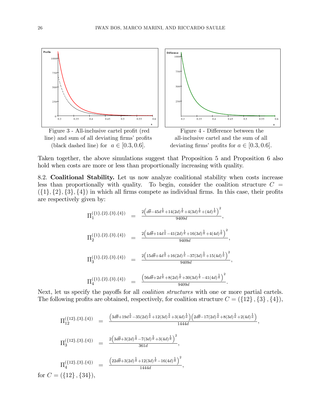

line) and sum of all deviating firms' profits (black dashed line) for  $a \in [0.3, 0.6]$ .



a

Taken together, the above simulations suggest that Proposition 5 and Proposition 6 also hold when costs are more or less than proportionally increasing with quality.

8.2. Coalitional Stability. Let us now analyze coalitional stability when costs increase less than proportionally with quality. To begin, consider the coalition structure  $C =$  $({1}, {2}, {3}, {4})$  in which all firms compete as individual firms. In this case, their profits are respectively given by:

$$
\Pi_1^{\{1\},\{2\},\{3\},\{4\}} = \frac{2\left(d\overline{\theta} - 45d^{\frac{1}{\overline{a}}} + 14(2d)^{\frac{1}{\overline{a}}} + 4(3d)^{\frac{1}{\overline{a}}} + (4d)^{\frac{1}{\overline{a}}}\right)^2}{9409d},
$$
\n
$$
\Pi_2^{\{1\},\{2\},\{3\},\{4\}} = \frac{2\left(4d\overline{\theta} + 14d^{\frac{1}{\overline{a}}} - 41(2d)^{\frac{1}{\overline{a}}} + 16(3d)^{\frac{1}{\overline{a}}} + 4(4d)^{\frac{1}{\overline{a}}}\right)^2}{9409d},
$$
\n
$$
\Pi_3^{\{1\},\{2\},\{3\},\{4\}} = \frac{2\left(15d\overline{\theta} + 4d^{\frac{1}{\overline{a}}} + 16(2d)^{\frac{1}{\overline{a}}} - 37(3d)^{\frac{1}{\overline{a}}} + 15(4d)^{\frac{1}{\overline{a}}}\right)^2}{9409d},
$$
\n
$$
\Pi_4^{\{1\},\{2\},\{3\},\{4\}} = \frac{\left(56d\overline{\theta} + 2d^{\frac{1}{\overline{a}}} + 8(2d)^{\frac{1}{\overline{a}}} + 30(3d)^{\frac{1}{\overline{a}}} - 41(4d)^{\frac{1}{\overline{a}}}\right)^2}{9409d}.
$$

Next, let us specify the payoffs for all *coalition structures* with one or more partial cartels. The following profits are obtained, respectively, for coalition structure  $C = (\{12\}, \{3\}, \{4\}),$ 

$$
\Pi_{12}^{(\{12\},\{3\},\{4\})} = \frac{\left(3d\bar{\theta} + 19d^{\frac{1}{a}} - 35(2d)^{\frac{1}{a}} + 12(3d)^{\frac{1}{a}} + 3(4d)^{\frac{1}{a}}\right)\left(2d\bar{\theta} - 17(2d)^{\frac{1}{a}} + 8(3d)^{\frac{1}{a}} + 2(4d)^{\frac{1}{a}}\right)}{1444d},
$$
\n
$$
\Pi_{3}^{(\{12\},\{3\},\{4\})} = \frac{2\left(3d\bar{\theta} + 3(2d)^{\frac{1}{a}} - 7(3d)^{\frac{1}{a}} + 3(4d)^{\frac{1}{a}}\right)^{2}}{361d},
$$
\n
$$
\Pi_{4}^{(\{12\},\{3\},\{4\})} = \frac{\left(22d\bar{\theta} + 3(2d)^{\frac{1}{a}} + 12(3d)^{\frac{1}{a}} - 16(4d)^{\frac{1}{a}}\right)^{2}}{1444d},
$$
\nfor  $C = (\{12\},\{34\}),$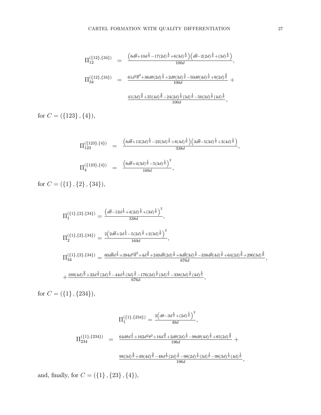$$
\Pi_{12}^{(\{12\},\{34\})} = \frac{\left(6d\overline{\theta} + 10d^{\frac{1}{a}} - 17(2d)^{\frac{1}{a}} + 6(3d)^{\frac{1}{a}}\right)\left(d\overline{\theta} - 2(2d)^{\frac{1}{a}} + (3d)^{\frac{1}{a}}\right)}{100d},
$$
\n
$$
\Pi_{34}^{(\{12\},\{34\})} = \frac{61d^2\overline{\theta}^2 + 36d\theta(2d)^{\frac{1}{a}} + 2d\theta(3d)^{\frac{1}{a}} - 50d\theta(4d)^{\frac{1}{a}} + 9(2d)^{\frac{2}{a}}}{100d} + \frac{41(3d)^{\frac{2}{a}} + 25(4d)^{\frac{2}{a}} - 24(2d)^{\frac{1}{a}}(3d)^{\frac{1}{a}} - 50(3d)^{\frac{1}{a}}(4d)^{\frac{1}{a}}}{100d},
$$

for  $C = (\{123\}, \{4\}),$ 

$$
\Pi_{123}^{(\{123\},\{4\})} = \frac{\left(8d\overline{\theta}+13(2d)^{\frac{1}{a}}-22(3d)^{\frac{1}{a}}+8(4d)^{\frac{1}{a}}\right)\left(3d\overline{\theta}-5(3d)^{\frac{1}{a}}+3(4d)^{\frac{1}{a}}\right)}{338d},
$$
\n
$$
\Pi_{4}^{(\{123\},\{4\})} = \frac{\left(8d\overline{\theta}+4(3d)^{\frac{1}{a}}-5(4d)^{\frac{1}{a}}\right)^{2}}{169d},
$$

for  $C = (\{1\} \, , \{2\} \, , \{34\}),$ 

$$
\Pi_1^{(\{1\},\{2\},\{34\})} = \frac{\left(d\overline{\theta} - 12d^{\frac{1}{a}} + 4(2d)^{\frac{1}{a}} + (3d)^{\frac{1}{a}}\right)^2}{338d},
$$
\n
$$
\Pi_2^{(\{1\},\{2\},\{34\})} = \frac{2\left(2d\overline{\theta} + 2d^{\frac{1}{a}} - 5(2d)^{\frac{1}{a}} + 2(3d)^{\frac{1}{a}}\right)^2}{169d},
$$
\n
$$
\Pi_{34}^{(\{1\},\{2\},\{34\})} = \frac{60d\overline{\theta}d^{\frac{1}{a}} + 394d^2\overline{\theta}^2 + 4d^{\frac{2}{a}} + 240d\overline{\theta}(2d)^{\frac{1}{a}} + 8d\overline{\theta}(3d)^{\frac{1}{a}} - 338d\overline{\theta}(4d)^{\frac{1}{a}} + 64(2d)^{\frac{2}{a}} + 290(3d)^{\frac{2}{a}}}{676d},
$$
\n
$$
+\frac{169(4d)^{\frac{2}{a}} + 32d^{\frac{1}{a}}(2d)^{\frac{1}{a}} - 44d^{\frac{1}{a}}(3d)^{\frac{1}{a}} - 176(2d)^{\frac{1}{a}}(3d)^{\frac{1}{a}} - 338(3d)^{\frac{1}{a}}(4d)^{\frac{1}{a}}}{676d},
$$

for  $C = (\{1\}, \{234\}),$ 

$$
\Pi_1^{(\{1\},\{234\})} = \frac{2\left(d\theta - 3d^{\frac{1}{a}} + (2d)^{\frac{1}{a}}\right)^2}{49d},
$$
\n
$$
\Pi_{234}^{(\{1\},\{234\})} = \frac{64d\theta d^{\frac{1}{a}} + 162d^2\theta^2 + 16d^{\frac{2}{a}} + 2d\theta(2d)^{\frac{1}{a}} - 98d\theta(4d)^{\frac{1}{a}} + 85(2d)^{\frac{2}{a}}}{196d} + \frac{98(3d)^{\frac{2}{a}} + 49(4d)^{\frac{2}{a}} - 48d^{\frac{1}{a}}(2d)^{\frac{1}{a}} - 98(2d)^{\frac{1}{a}}(3d)^{\frac{1}{a}} - 98(3d)^{\frac{1}{a}}(4d)^{\frac{1}{a}}}{196d},
$$

and, finally, for  $C = (\{1\} \, , \{23\} \, , \{4\}),$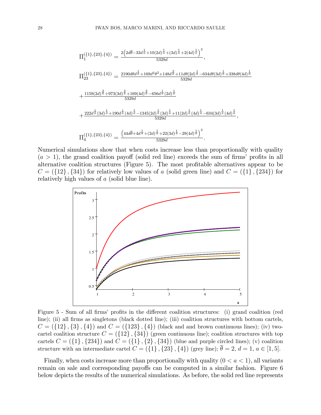$$
\Pi_1^{(\{1\},\{23\},\{4\})} = \frac{2\left(2d\overline{\theta}-33d\frac{1}{a}+10(2d)\frac{1}{a}+(3d)\frac{1}{a}+2(4d)\frac{1}{a}\right)^2}{5329d},
$$
\n
$$
\Pi_{23}^{(\{1\},\{23\},\{4\})} = \frac{2190d\theta d^{\frac{1}{a}}+169d^2\theta^2+148d^{\frac{2}{a}}+11d\theta(2d)^{\frac{1}{a}}-634d\theta(3d)^{\frac{1}{a}}+338d\theta(4d)^{\frac{1}{a}}}{5329d}
$$
\n
$$
+\frac{1159(2d)^{\frac{2}{a}}+973(3d)^{\frac{2}{a}}+169(4d)^{\frac{2}{a}}-656d^{\frac{1}{a}}(2d)^{\frac{1}{a}}}{5329d}
$$
\n
$$
+\frac{222d^{\frac{1}{a}}(3d)^{\frac{1}{a}}+190d^{\frac{1}{a}}(4d)^{\frac{1}{a}}-1345(2d)^{\frac{1}{a}}(3d)^{\frac{1}{a}}+11(2d)^{\frac{1}{a}}(4d)^{\frac{1}{a}}-634(3d)^{\frac{1}{a}}(4d)^{\frac{1}{a}}}{5329d},
$$
\n
$$
\Pi_4^{(\{1\},\{23\},\{4\})} = \frac{\left(44d\overline{\theta}+4d^{\frac{1}{a}}+(2d)^{\frac{1}{a}}+22(3d)^{\frac{1}{a}}-29(4d)^{\frac{1}{a}}\right)^2}{5329d}.
$$

Numerical simulations show that when costs increase less than proportionally with quality  $(a > 1)$ , the grand coalition payoff (solid red line) exceeds the sum of firms' profits in all alternative coalition structures (Figure 5). The most profitable alternatives appear to be  $C = (\{12\}, \{34\})$  for relatively low values of a (solid green line) and  $C = (\{1\}, \{234\})$  for relatively high values of a (solid blue line).



Figure 5 - Sum of all firms' profits in the different coalition structures: (i) grand coalition (red line); (ii) all firms as singletons (black dotted line); (iii) coalition structures with bottom cartels,  $C = (\{12\}, \{3\}, \{4\})$  and  $C = (\{123\}, \{4\})$  (black and and brown continuous lines); (iv) twocartel coalition structure  $C = (\{12\}, \{34\})$  (green continuous line); coalition structures with top cartels  $C = (\{1\}, \{234\})$  and  $C = (\{1\}, \{2\}, \{34\})$  (blue and purple circled lines); (v) coalition structure with an intermediate cartel  $C = (\{1\}, \{23\}, \{4\})$  (grey line);  $\overline{\theta} = 2, d = 1, a \in [1, 5]$ .

Finally, when costs increase more than proportionally with quality  $(0 < a < 1)$ , all variants remain on sale and corresponding payoffs can be computed in a similar fashion. Figure 6 below depicts the results of the numerical simulations. As before, the solid red line represents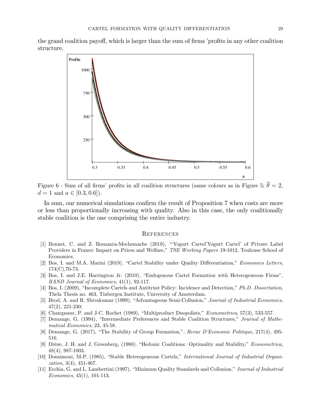the grand coalition payoff, which is larger than the sum of firms 'profits in any other coalition structure.



Figure 6 - Sum of all firms' profits in all coalition structures (same colours as in Figure 5;  $\theta = 2$ ,  $d = 1$  and  $a \in [0.3, 0.6]$ .

In sum, our numerical simulations confirm the result of Proposition 7 when costs are more or less than proportionally increasing with quality. Also in this case, the only coalitionally stable coalition is the one comprising the entire industry.

#### **REFERENCES**

- [1] Bonnet, C. and Z. Bouamra-Mechemache (2019), "'Yogurt Cartel'Yogurt Cartel' of Private Label Providers in France: Impact on Prices and Welfare," TSE Working Papers 19-1012, Toulouse School of Economics.
- [2] Bos, I. and M.A. Marini (2019), "Cartel Stability under Quality Differentiation," Economics Letters,  $174(C)$ , 70-73.
- [3] Bos, I. and J.E. Harrington Jr. (2010), "Endogenous Cartel Formation with Heterogeneous Firms", RAND Journal of Economics, 41(1), 92-117.
- [4] Bos, I. (2009), "Incomplete Cartels and Antitrust Policy: Incidence and Detection," Ph.D. Dissertation, The la Thesis no. 463, Tinbergen Institute, University of Amsterdam.
- [5] Brod, A. and R. Shivakumar (1999), "Advantageous Semi-Collusion," Journal of Industrial Economics,  $47(2), 221-230;$
- [6] Champsaur, P. and J-C. Rochet (1989), "Multiproduct Duopolists," *Econometrica*, 57(3), 533-557.
- [7] Demange, G. (1994), "Intermediate Preferences and Stable Coalition Structures," Journal of Mathematical Economics, 23, 45-58.
- [8] Demange, G. (2017), "The Stability of Group Formation,", Revue D'Economie Politique, 217(4), 495-516.
- [9] Drèze, J. H. and J. Greenberg, (1980). "Hedonic Coalitions: Optimality and Stability," Econometrica,  $48(4), 987-1003.$
- [10] Donsimoni, M-P. (1985), "Stable Heterogeneous Cartels," International Journal of Industrial Organi*zation*,  $3(4)$ ,  $451-467$ .
- [11] Ecchia, G. and L. Lambertini (1997), "Minimum Quality Standards and Collusion," Journal of Industrial *Economics*,  $45(1)$ , 101-113.